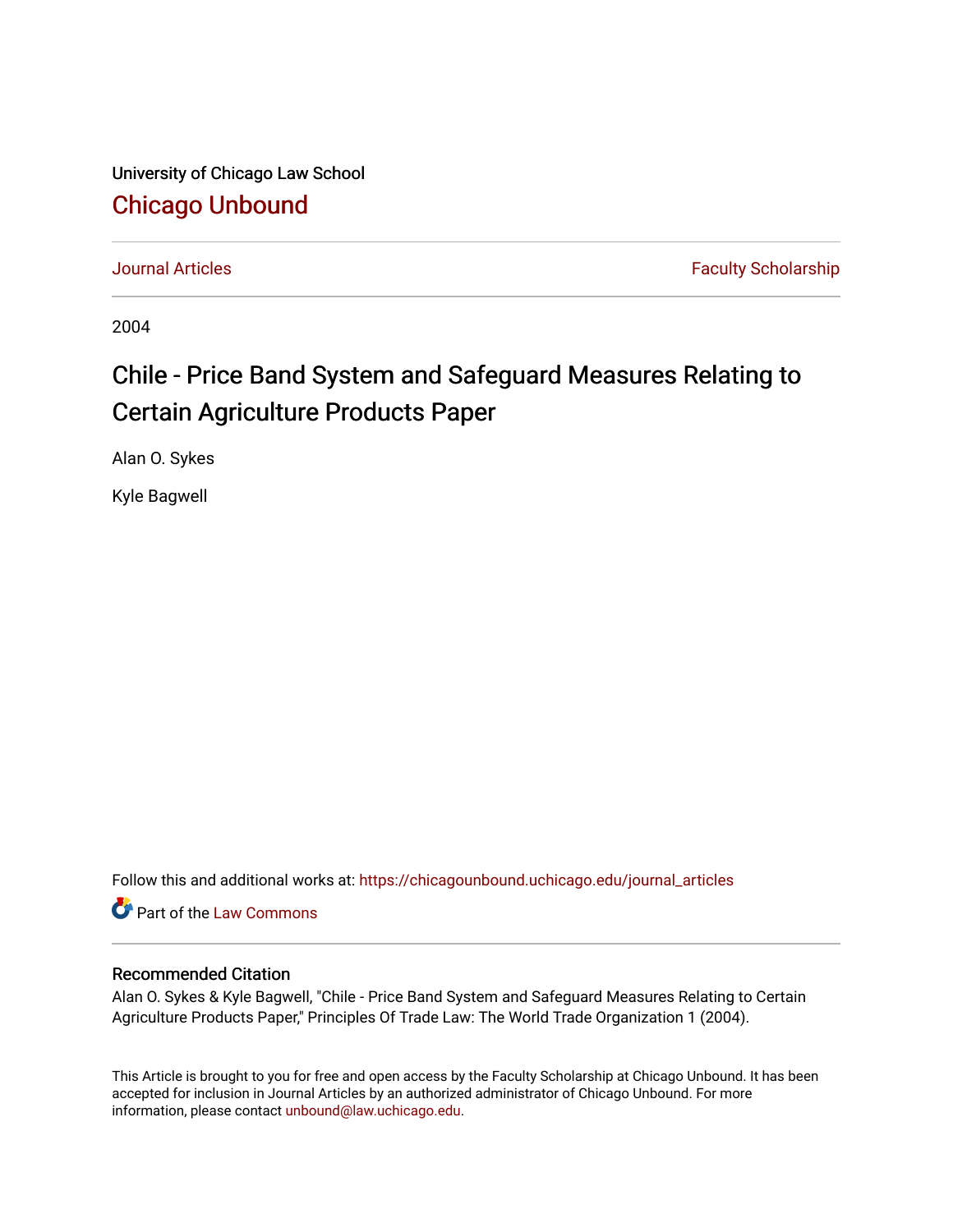University of Chicago Law School [Chicago Unbound](https://chicagounbound.uchicago.edu/)

[Journal Articles](https://chicagounbound.uchicago.edu/journal_articles) **Faculty Scholarship Journal Articles** 

2004

# Chile - Price Band System and Safeguard Measures Relating to Certain Agriculture Products Paper

Alan O. Sykes

Kyle Bagwell

Follow this and additional works at: [https://chicagounbound.uchicago.edu/journal\\_articles](https://chicagounbound.uchicago.edu/journal_articles?utm_source=chicagounbound.uchicago.edu%2Fjournal_articles%2F9684&utm_medium=PDF&utm_campaign=PDFCoverPages) 

Part of the [Law Commons](http://network.bepress.com/hgg/discipline/578?utm_source=chicagounbound.uchicago.edu%2Fjournal_articles%2F9684&utm_medium=PDF&utm_campaign=PDFCoverPages)

## Recommended Citation

Alan O. Sykes & Kyle Bagwell, "Chile - Price Band System and Safeguard Measures Relating to Certain Agriculture Products Paper," Principles Of Trade Law: The World Trade Organization 1 (2004).

This Article is brought to you for free and open access by the Faculty Scholarship at Chicago Unbound. It has been accepted for inclusion in Journal Articles by an authorized administrator of Chicago Unbound. For more information, please contact [unbound@law.uchicago.edu](mailto:unbound@law.uchicago.edu).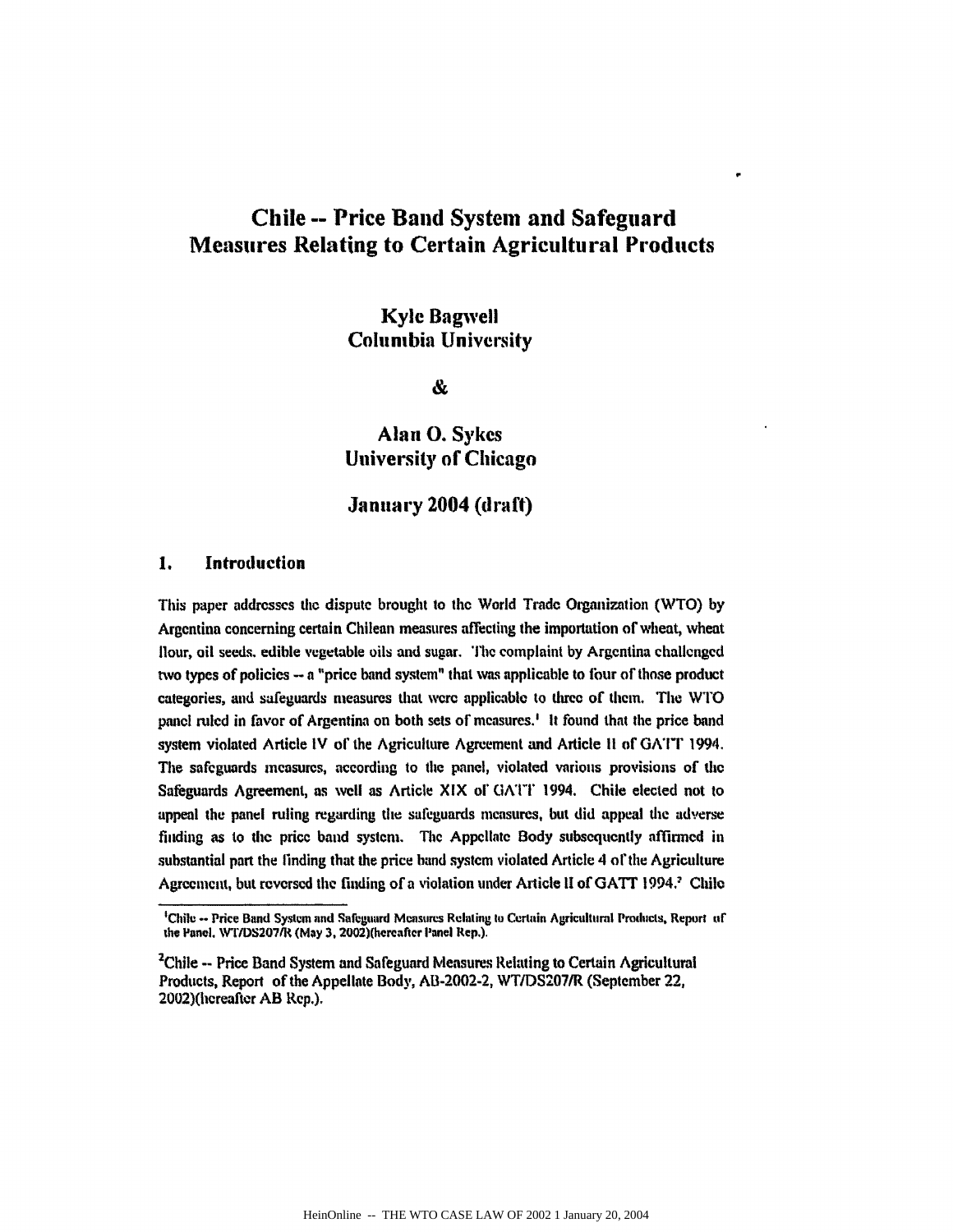# Chile **--** Price Band System and Safeguard Measures Relating to Certain Agricultural Products

**Kyle** Bagwell Columbia University

**&**

Alan **0.** Sykes University of Chicago

# **January 2004 (draft)**

### **1.** Introduction

This paper addresses the dispute brought to the World Trade Organization (WTO) **by** Argentina concerning certain Chilean measures affecting the importation of wheat, wheat flour, oil seeds. edible vegetable oils and sugar. The complaint **by** Argentina challenged two types of policies - **a** "price band system" that was applicable to Ibur of those product categories, and safeguards measures that wcrc applicable to **dtrc** of them. The WTO panel ruled in favor of Argentina on both sets of measures.' **It** found that the price band system violated Article IV of the Agriculture Agreement and Article **11** of **GAiT** 1994. The safeguards measures, according to tile panel, violated various provisions of the Safeguards Agreement, as well as Article XIX of GATT 1994. Chile elected not to appeal the panel ruling regarding the safeguards measures, but did appeal the adverse finding as to the price band system. The Appellate Body subsequently affirmed in substantial part the finding that the price band system violated Article 4 of the Agriculture Agreement, but reversed the finding of a violation under Article **1I** of **GATT** 1994.1 Chile

**<sup>&#</sup>x27;Chile --** Price Band System and Safeguard Measures Relating **to** Certain Agricultural Products, Report or **the** Panel. WTIDS207/R **(May 3,** 2002)(hereafter Panel Rep.).

<sup>2</sup> Chile **--** Price Band System and Safeguard Measures Relating to Certain Agricultural Products, Report of the Appellate Body, AB-2002-2, WT/DS207/R (September 22, 2002)(hereaftcr AB Rep.).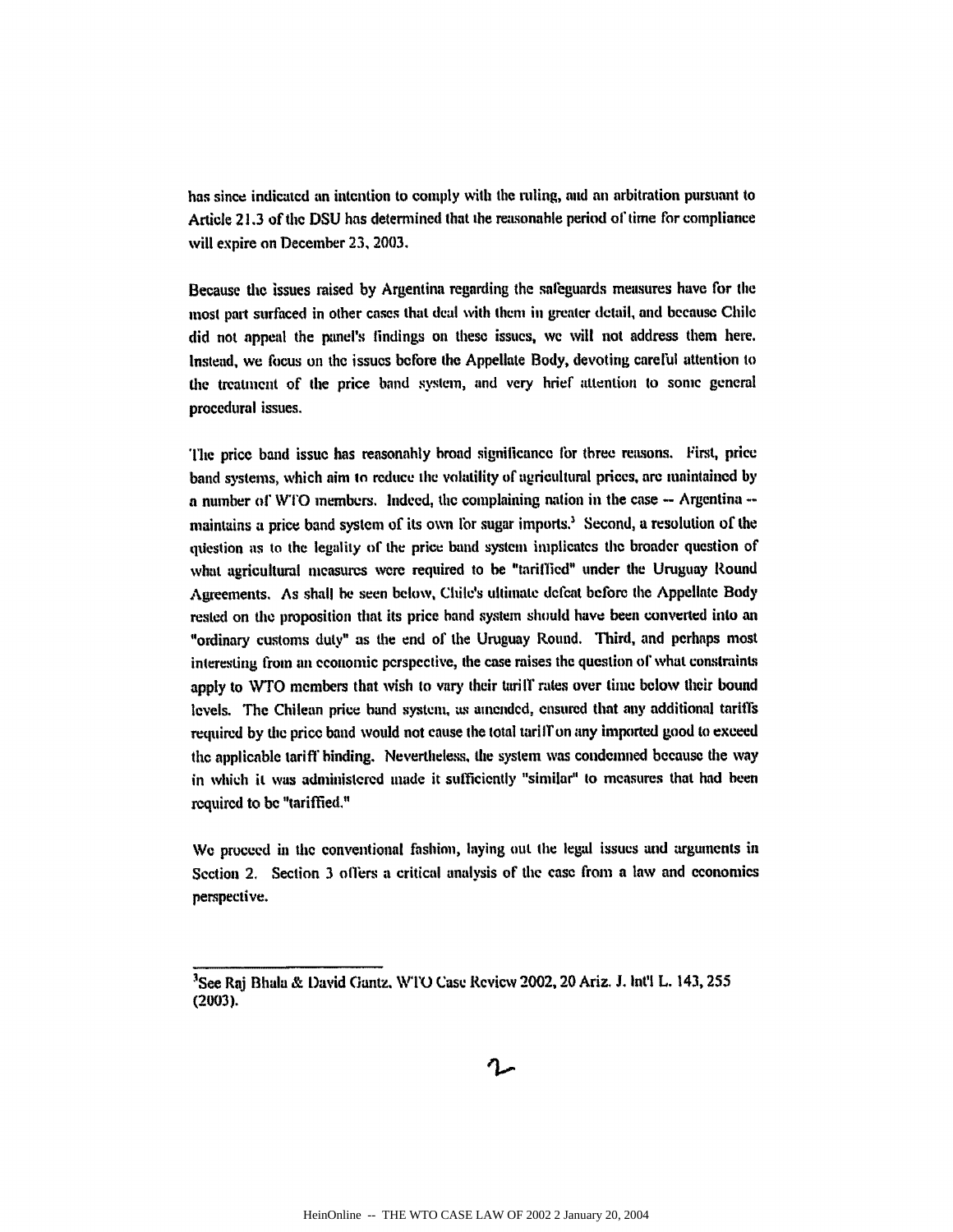has since indicated an intention to comply with the ruling, and an arbitration pursuant to Article **21.3** of the **DSU** has determined that the reasonahle period of time for compliance **will** expire on December **23, 2003.**

Because tie issues raised **by** Argentina regarding the safeguards measures have for the most part surfaced in other cases that **deal** with them in greater detail, and because Chile did not appeal the panel's lindings **on** these issues, we will not address them here. Instead, we focus on the issues before the Appellate Body, devoting careful attention to the treatment of the price band system, and very brief attention to **some** general procedural issues.

The price band issue has reasonably broad significance for three reasons. First, price band systems, which aim to reduce the volatility of agricultural prices, **are** maintained **by** a number of WTO members. Indeed, **the** complaining nation in the case **-** Argentina **-** maintains a price band system of its own for sugar imports.<sup>3</sup> Second, a resolution of the quiestion as to the legality of the price band system implicates the broader question of what agricultural measures **were** required to **be** "tarillied" under the Uruguay Round Agreements. As shall **be** seen **below,** Chile's ultimate **defeat** before the Appellate Body rested on the proposition that its price band system should have been converted into an "ordinary customs duty" as the end of the Uruguay Round. Third, and perhaps most interesting from **an** economic perspective, the case raises the question of what constraints **apply** to **WTO** members that wish to vary their tariIf rates over **time** below their bound levels. The Chilean price band system, as amended, ensured that any additional tariffs required **by the** price **band** would not cause the total tarilron any imported good to exceed the applicable tariff binding. Nevertheless, **the** system was condemned because the **way** in which it was administered made it sufficiently "similar" to measures that **had** been required to **be** "tariffied."

We proceed in the conventional fashion, laying out the **legal** issues and arguments **in** Section 2. Section 3 oilers **a** critical analysis of the case from a law and economics perspective.

<sup>&#</sup>x27;See **Raj** Bhala **&** David Guntz. **WTO** Case Review 2002, 20 Ariz. **J.** Int'l L. 143, **255 (2003).**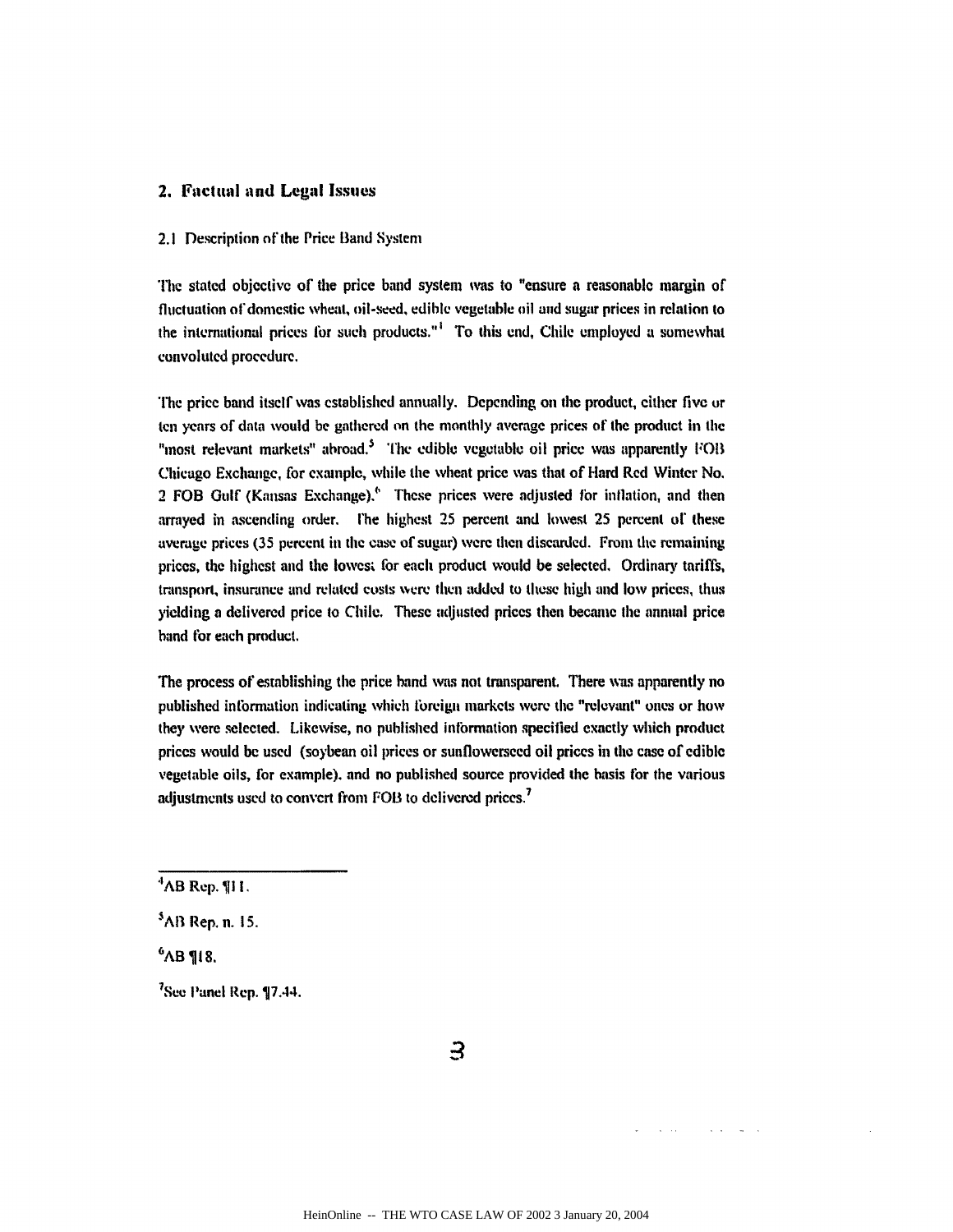#### 2. Factual and **Legal** Issues

#### 2.1 Description **of** the Price Band System

**The** stated objcctive of **the** price band system was to "ensure **a** reasonable margin of fluctuation of'domestic wheat, oil-seed, **edible** vegetable oil and sugar prices in relation to the international prices for such products."' To this end, Chile employed **a** somewhat convoluted procedure.

The price band itself was established annually. Depending on the product, either five or ten years of data would **be** gathered on the monthly average prices of the product in the "most relevant markets" abroad.<sup>5</sup> The edible vegetable oil price was apparently FOB Chicago Exchange, for example, while the wheat price was that of Hard Red Winter No. 2 FOB Gulf (Kansas Exchange)." These prices were adjusted **fbr** inflation, and then arrayed in ascending order. The highest 25 percent and lowest 25 percent of these average prices **(35** percent in the case of sugar) were then discarded. From **the** remaining prices, the highest and the lowest for each product would be selected. Ordinary tariffs, transport, insurance and related costs vver then added to these high and **low** prices, thus yielding a delivered price to Chile. These adjusted prices then becane the annual price band for each product.

The process **of** establishing the price band was not transparent. There was apparently no published information indicating which foreign markets were the "relevant" ones or how they were selected. Likewise, no published information specified exactly which product prices would **be** used (soybean oil prices or sunflowerseed oil prices in the case of edible vegetable oils, for example). and no published source provided the basis for the various adjustments used to convert **from FOB** to delivered prices.<sup>7</sup>

**6 AB 18.**

**7 See** Panel Rep. 7.44.

 $\Delta \sim 1.4$  and

and the state of

<sup>&</sup>quot;AB Rep. **11.**

**<sup>5</sup> AB** Rep. n. **15.**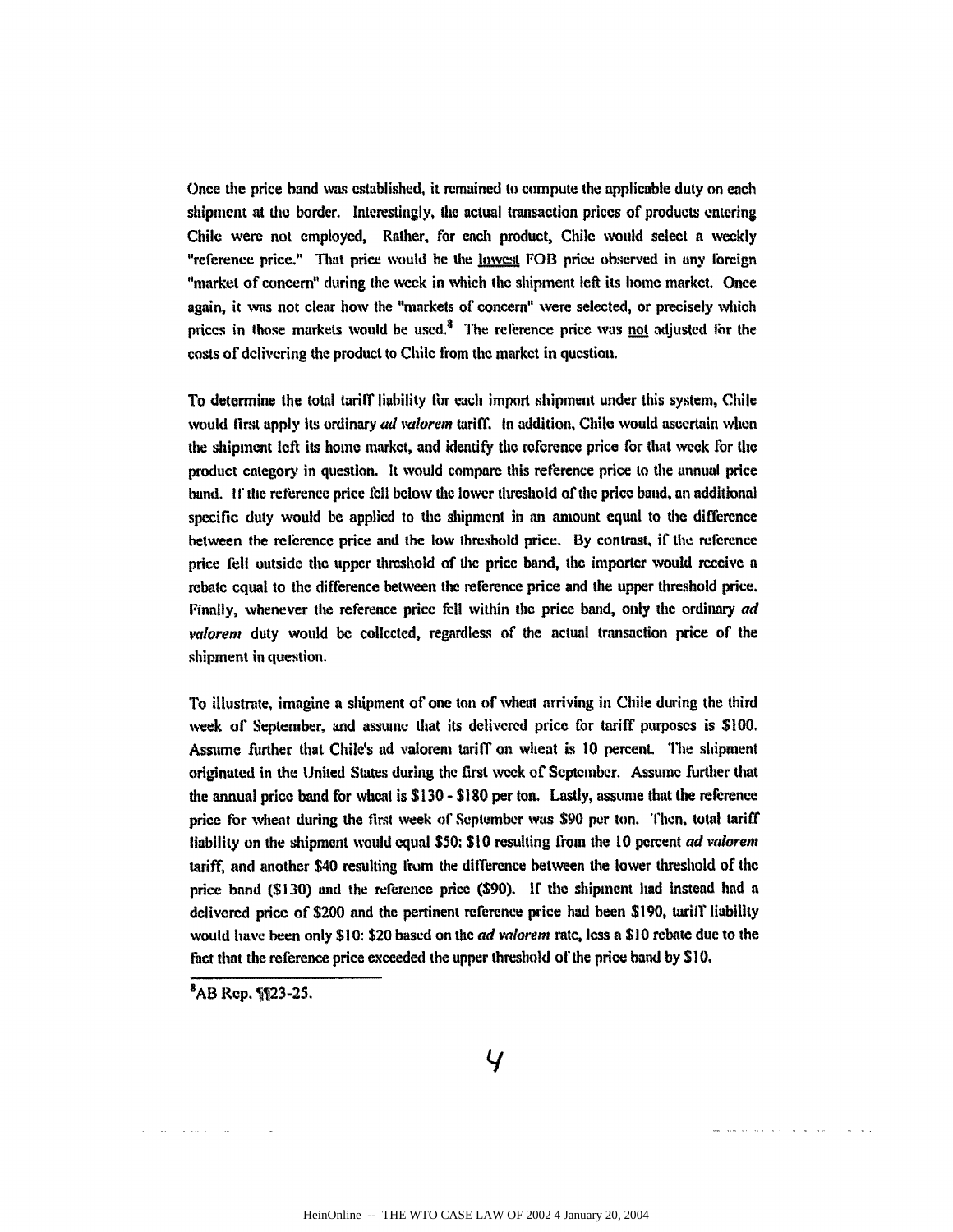Once the price band was established, it remained to compute the applicable duty on each shipment at the border. Interestingly, the actual transaction prices of products entering Chile were not employed, Rather, for each product, Chile would select **a** weekly "reference price." That price would he the **lowest FOB** price observed in any foreign "market of concern" during the week in which the shipment left its home market. Once again, it was not clear how the "markets of concern" were selected, or precisely which prices in those markets would **be used.8** The refierence price was **not** adjusted for the costs **of** delivering the product to Chile from the market in question.

To determine the total tariff liability for each import shipment under this system, Chile would first apply its ordinary *ad valorem* tariff. In addition, Chile would ascertain when **the** shipment left its home market, and identify the reference price for that week for the product category in question. It would compare this reference price to the annual price band. **ilf the** reference price **fell** below the lower threshold of the **price** band, an additional specific duty would **be** applied to the shipment in an amount equal to the difference between the reference price and the low threshold price. **By** contrast, if **the** reference price **fell** outside the upper threshold of the price band, the importer would receive a rebate equal to the difference between the reference price and the upper threshold price. Finally, whenever the reference price **fell** within the price band, only the ordinary *ad valorem* duty would **be** collected, regardless of the actual transaction price of the shipment in question.

To illustrate, imagine **a** shipment of one ton of wheat arriving in Chile during the third week *of"* September, and assume that its delivered price for tariff purposes is **\$100.** Assume further that Chile's ad valorem tariff on wheat is **10** percent. The shipment originated in the United States during the first vcck of September. Assume further that the annual price band **for** wheat is **\$130 - \$180** per ton. Lastly, assume that the reference price for wheat during the first week **of** September **was \$90** per ton. Then, total tariff liability on the shipment would equal **\$50: \$10** resulting from the **10** percent *ad valorem* tariff, and another \$40 resulting from the difference between the lower threshold of the price band **(\$130)** and the reference price **(\$90). If** the shipment had instead **had a** delivered price of \$200 and the pertinent reference price had been **\$190,** tariff liability would have been only **\$10:** \$20 based on the *ad valoremn* rate, less a **\$10** rebate due to the fact that the reference price exceeded the upper threshold of the price band **by \$10.**

8AB Rep. **1123-25.**

and the state of the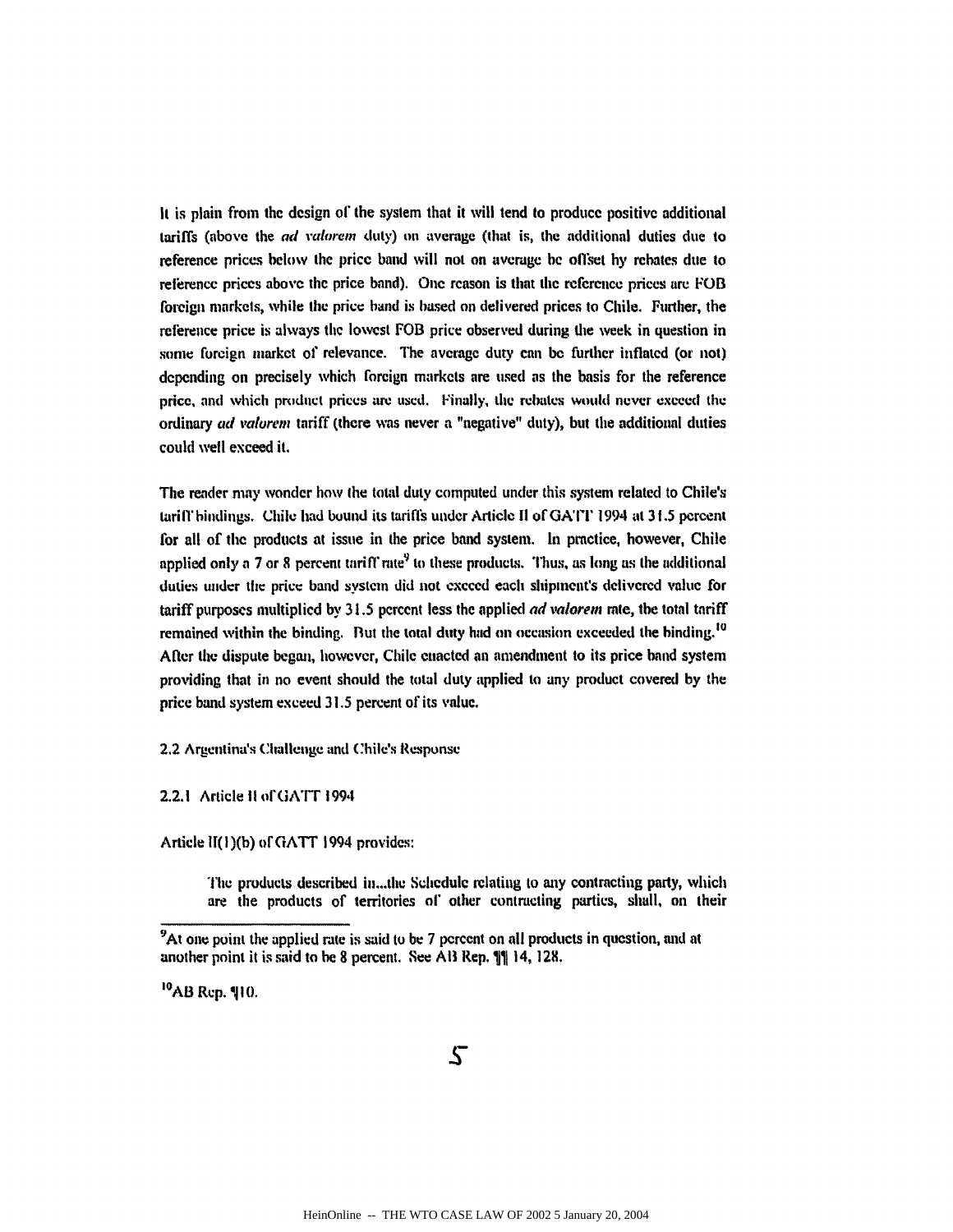It is plain from the design ol' the system that it will tend to produce positive additional tariffs (above the **ad** valorem duty) **oi** average (that is, the additional duties due to reference prices below the price band will not on average be offset hy rebates due to refirence prices above the price band). One reason is that the reference prices arc FOB foreign markets, while the price hand is based on delivered prices to Chile. Further, the reference price is always the lowest FOB price observed during **the** week in question in some foreign market of relevance. The average duty **can** be further inflatcd **(or** not) depending on precisely which foreign markets are used as the basis for the reference price, and which product prices **arc** used. Finally, the rebates would never exceed the ordinary *ad* valurem tariff (there was never a "negative" duty), but the additional duties could well exceed it.

The reader may wonder how the total duty computed under this system related to Chile's tarill'bindings. Chile had bound its tariffs under Article **II** of **GAT** 1994 at **31.5** percent for all of the products at issue in the price band system. In practice, however, Chile applied only a 7 or 8 percent tariff rate<sup>9</sup> to these products. Thus, as long as the additional duties under the price band **systcm** did not exceed each shipment's delivered value for tariff purposes multiplied **by 31.5** percent less the applied ad valorem rate, the total tariff remained within the binding. **But** the total duty **had** on occasion exceeded the binding.'0 After **the** dispute began, however, Chile enactcd an amendment to its price band system providing that in no event should the total duty applied to any product covered **by** the price band system exceed **31.5** percent of its value.

2.2 Argentina's Challenge and Chile's Response

2.2.1 Article **If of'A'F** <sup>1994</sup>

Article **IT(l)(b)** of GATT 1994 provides:

The products described in...the Schedule relating to any contracting **party,** which are the products of territories of' other contracting parties, shall, on their

**' 0AB** Rep. **I410.**

<sup>&</sup>lt;sup>9</sup>At one point the applied rate is said to be 7 percent on all products in question, and at another point it is said to **be 8** percent. See **All** Rep. **111** 14, 128.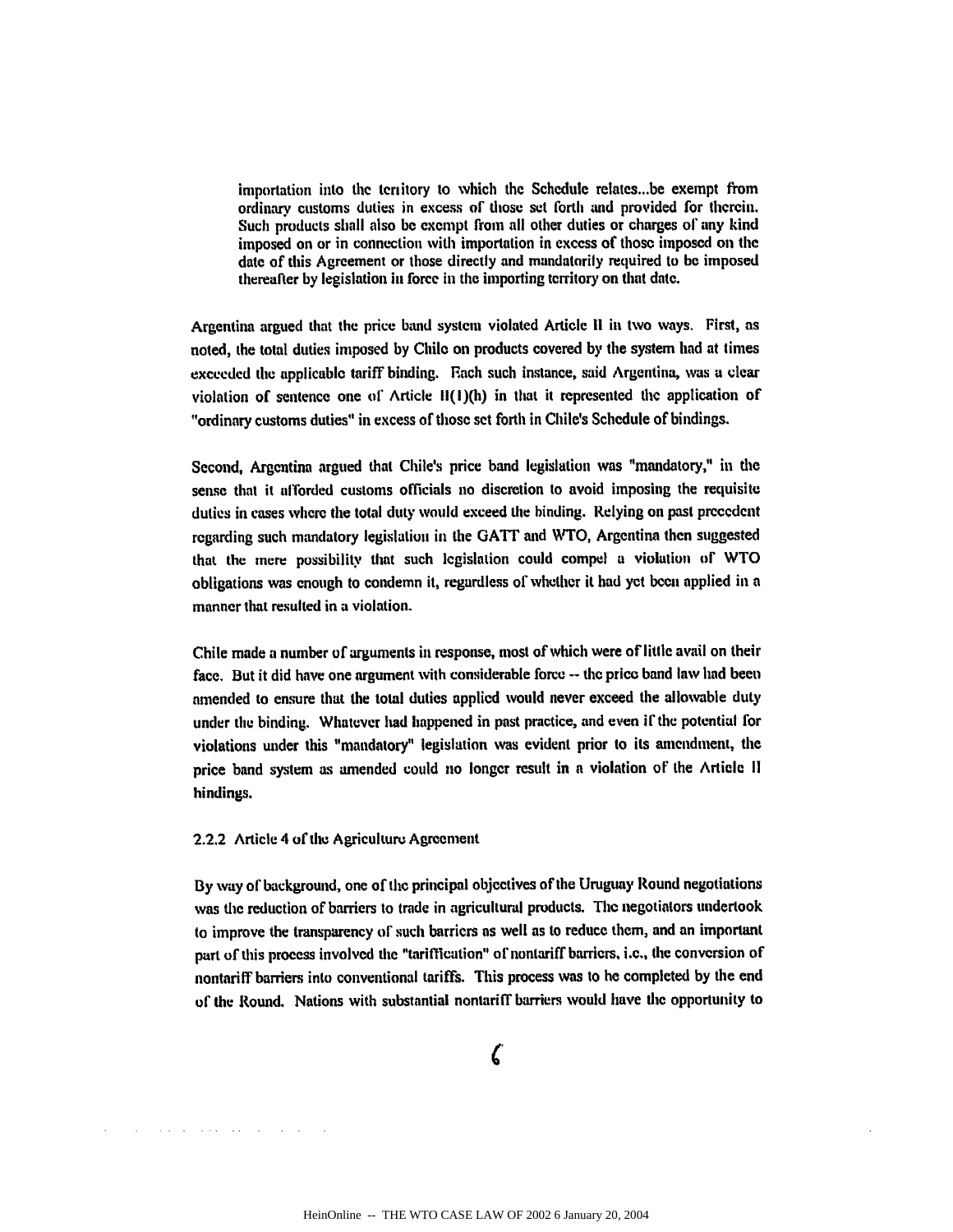importation into the tcritory to which the Schedule relates...be exempt from ordinary customs duties in excess of those set forth and provided for therein. Such products shall also **be** exempt from **all** other duties or charges of any kind imposed **on** or in connection with importation in excess of those imposed on the date of this Agreement or those directly and mandatorily required to **be** imposed thereafter **by** legislation in force in the importing territory on that date.

Argentina argued that the price band system violated Article **11** in **two** ways, First, as noted, the total duties imposed **by** Chile on products covered **by** the system **had** at times exceeded the applicable tariff binding. Each such instance, said Argentina, was a clear violation of sentence one of Article **lI(l)(b)** in that it represented the application of "ordinary customs duties" in excess of those set forth in Chile's Schedule of bindings.

Second, Argentina argued that Chile's price band legislation was "mandatory," in **the** sense that it alforded customs officials no discretion to avoid imposing the requisite duties in cases where the total duty would exceed the binding. Relying on past precedent regarding such mandatory legislation in the **GAIT** and **INTO,** Argentina then suggested that the mere possibility that such legislation could compel a violation **of** WTO obligations was enough to condemn it, regardless of whether it had yet been applied in **a** manner that resulted in a violation.

Chile made **a** number of arguments in response, most of which were of little avail on their face. But it did have one argument with considerable force **--** the price band **law** had **been** amended to ensure that the total duties applied would never exceed the allowable duty under thu binding. Whatever had happened in past practice, and even if the potential for violations under this "mandatory" legislation was evident prior to its amendment, the price band system as amended could no longer result in **a** violation of the Article **II** bindings.

#### 2.2.2 Article 4 **of** the Agriculturo Agreement

the contract of the second contract of the

**By** way of background, one of the principal objectives of the Uruguay Round negotiations was the reduction of barriers to trade in agricultural products. The negotiators undertook to improve the transparency of such barriers as well as to reduce them, and an important part **of** this process involved the "tariffication" of nontariff barriers, i.e., the conversion of nontariff barriers into conventional tariffs. This process was to **he** completed **by** the end **of** the Round. Nations with substantial nontariff barriers would have the opportunity to

 $\cal C$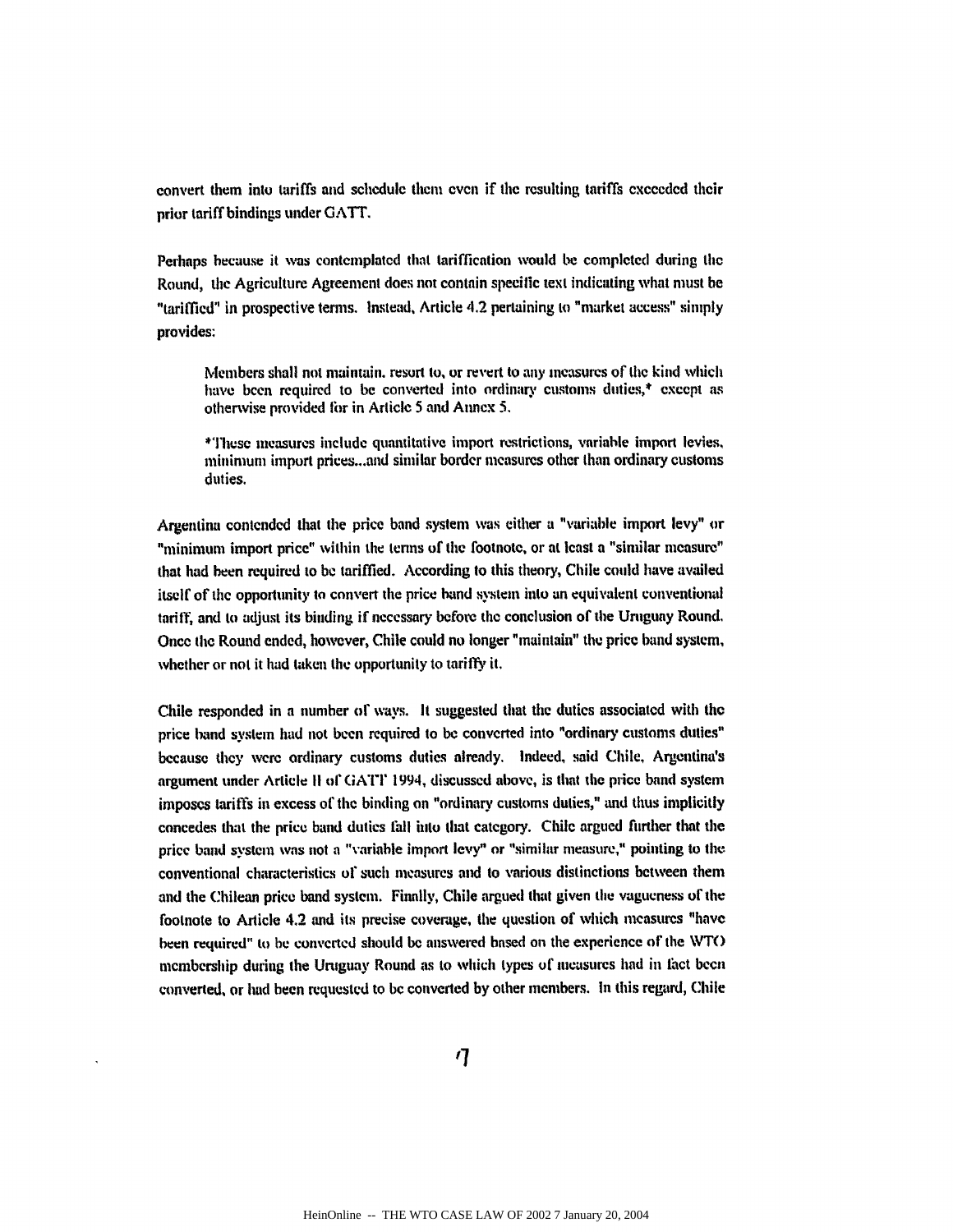convert them into tariffs and schedule them even if the resulting tariffs exceeded their prior tariff bindings under **GATT.**

Perhaps because it was contemplated that tariffication would be completed during **the** Round, **dhe** Agriculture Agreement does not contain specilic text indicating what must **be** "tariffied" in prospective terms. Instead, Article 4.2 pertaining to "market access" **simply** provides:

Members shall not maintain, resort to, or revert to any nieasurcs of the kind which have been required to be converted into ordinary customs duties,<sup>\*</sup> except as otherwise provided lbr in Article **5** and Annex 5.

**\*These** measures include quantitative import restrictions, variable import levies, minimum import prices.,.and similar border measures other than ordinary customs duties.

Argentina contended **that** the price band system was either a "variable import levy" or "minimum import price" within the terms **of** the footnote, or at least **a** "similar measure" that had been required to be tariffied. According to this theory, Chile could have availed itself of the opportunity **to** convert **the** price band system into an equivalent conventional tariff; and to adjust its binding if necessary before the conclusion of the Uruguay Round. Once the Round ended, however, Chile could no longer "maintain" the price band system, whether or not it had taken the opportunity to tariffy it.

Chile responded in **a** number of ways. **It** suggested that the duties associated with the price band system had not been required to be converted into "ordinary customs duties" because they **were** ordinary customs duties already, Indeed, said Chile, Argentina's argument under Article *II* of GATT 1994, discussed above, is that the price band system **imposes** tariffs in excess of the binding on "ordinary customs duties," and thus implicitly concedes that **the** price band duties fall into that category. Chile argued further that the price band system was not **a** "variable import levy" or "similar measure," pointing to the conventional characteristics of such measures and to various distinctions between them and the Chilean price band system. Finally, Chile argued that given the vagueness of the footnote to Article 4.2 and its precise coverage, the question of which measures "have been required" to **be** converted should **be** answered based on the experience of the **WTO** membership during the Unguay Round as to which types **of** measures **had** in) fact been converted, or had been requested to **be** converted **by** other members. In this regard, Chile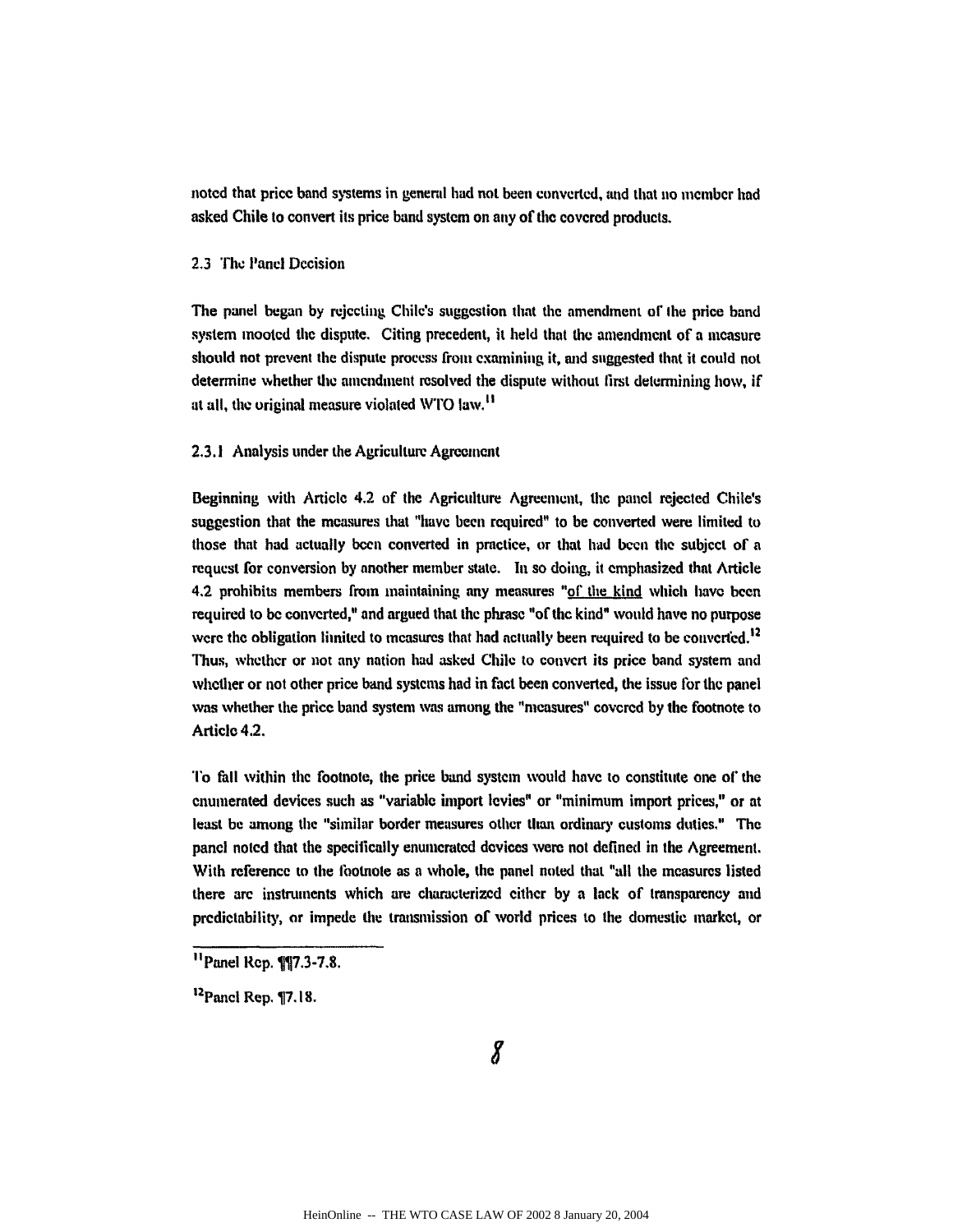noted that price band systems in general had not been converted, mnd that no ncniber **had** asked Chile to convert its price band system on any of **the** covcred products.

#### **2.3 The** Panel Decision

The panel began **by** rejccting Chile's suggestion that the amendment **of** Ihe price band system mooted the dispute. Citing precedent, it held that the amendment of **a** measure should not prevent the dispute process from examining it, and suggested that it could not determine whether **the amiendment** resolved the dispute without **first** determining how, if at all, the original measure violated WTO **law.**

#### **2.3.1** Analysis under the Agriculture Agreement

Beginning with Article 4.2 of the Agriculture Agreement, the panel rejected Chile's suggestion that the measures that "have been required" to be converted were limited to those that **had** actually been converted in practice, or that had **bccn the** subject of a request for conversion **by** another member state, In so doing, it emphasized that Article 4.2 prohibits members from maintaining any measures "of **the** kind which have been required to **be** converted," and argued that **the** phrase "of the kind" would have no purpose were the obligation limited to measures that had actually been required to be converted.<sup>12</sup> Thus, whether or not any nation **had** asked Chile to convert its price band system and whether or not other price band systems had in fact been converted, the issue for the panel was whether the price band system **was** among the "measures" covered **by** the footnote to Article 4.2.

To fall within the footnote, the price band system would have to constitute one of the enumerated devices such as "variable import levies" or "minimum import prices," or at least **be** among the "similar border measures other than ordinary customs duties," The panel noted **that** the specifically enumerated devices were not defined in the Agreement, With reference to **the** footnote as **a** whole, the panel noted that **"all** the measures listed there arc instruments which are characterized either **by a** lack of transparency and predictability, or impede the transmission of world prices to the domestic market, or

<sup>&</sup>quot;Panel Rep. **1117.3-7.8.**

<sup>1</sup> 2Panel Rep. **117.18.**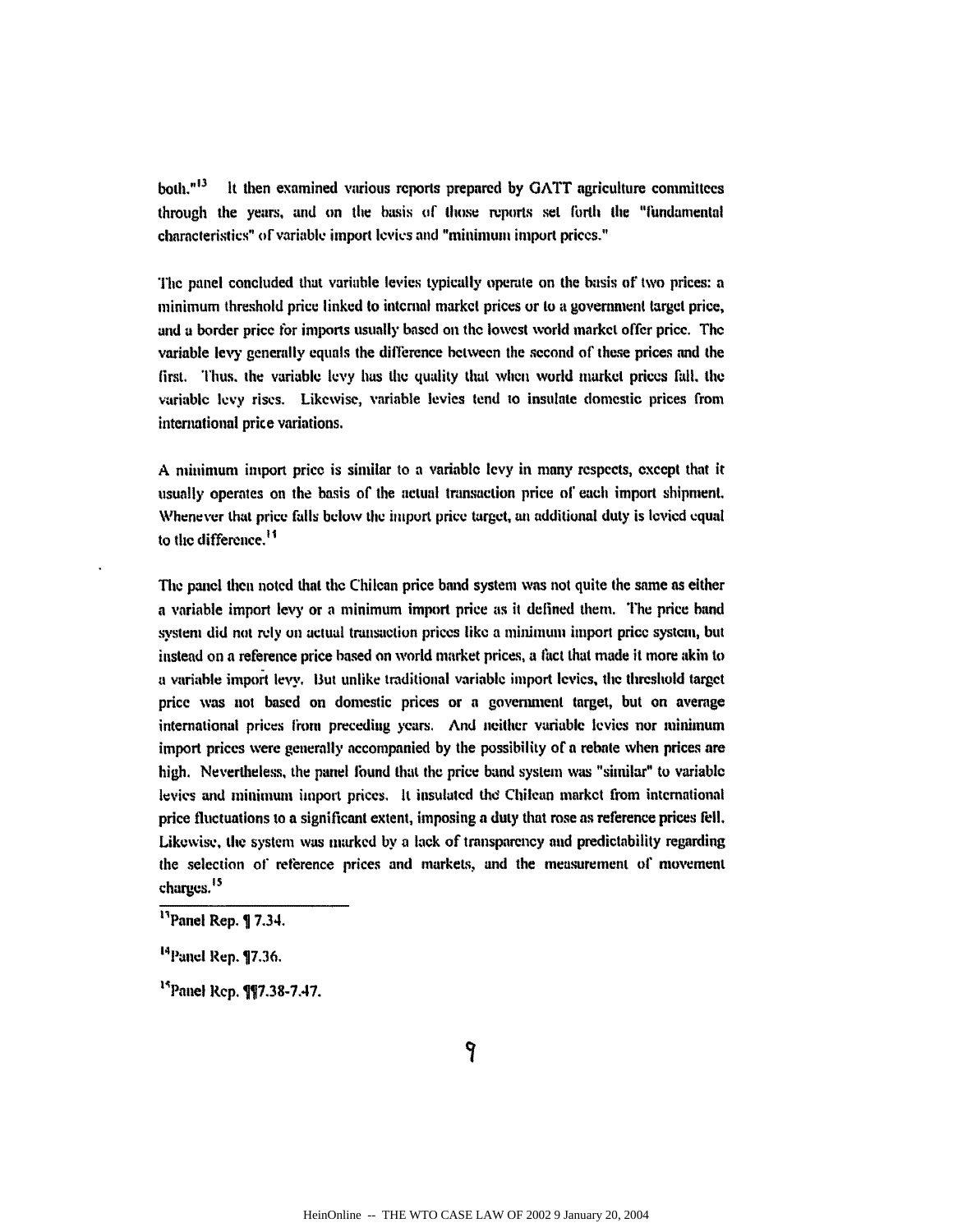both."<sup>13</sup> It then examined various reports prepared by GATT agriculture committees through the years, and on the basis **of** those reports set forth the "fundamental characteristics" of variable import levies and "minimum **import** prices."

Ac panel concluded that variable levies typically operate on the basis of two prices: **a** minimum threshold price linked to internal market prices or to a government target price, and a border price for imports usually based on the lowest world market **offer** price. The variable levy generally equals the difference between the second of these prices and the first. Thus. the variable levy has the quality that when world market prices **fall.** the variable levy rises. Likewise, variable levies tend to insulate domestic prices from international price variations.

**A** minimum import price is similar to **a** variable levy in many respects, except that it usually operates on the basis of the actual transaction price **o' eact** import shipment. Whenever that price falls below the import price target, an additional duty is levied equal to the difference. **'t**

The panel then noted that the Chilean price band system was not **quite** the same as either a variable import levy or **a** minimum import price as it defined them. *The* price **band** system did not rely on actual transaction prices like a minimun import price system, but instead on a reference price based on world market prices, a fact that made it more akin to a variable import levy, **But** unlike traditional variable import levies, the threshold target price was not based on domestic prices or **a** government target, but on average international prices firom preceding years. And ncither variable levies nor minimum import prices were generally accompanied **by** the possibility of **a** rebate when prices are high. Nevertheless, the panel Ibund that the price band system was "similar" to variable levies and minimum import prices. It insulated **the** Chilean market from international price fluctuations to **a** significant extent, imposing **a** duty that rose as reference prices **fell.** Likewise, the system **was** marked **by a** lack of transparency and predictability regarding the selection of reference prices and markets, and the measurement of movement charges.<sup>15</sup>

1;Panel Rep. **7.38-7.47.**

<sup>&</sup>quot; Panel Rep. **1** 7.34.

<sup>14</sup>Panel **Rep.** 7.36.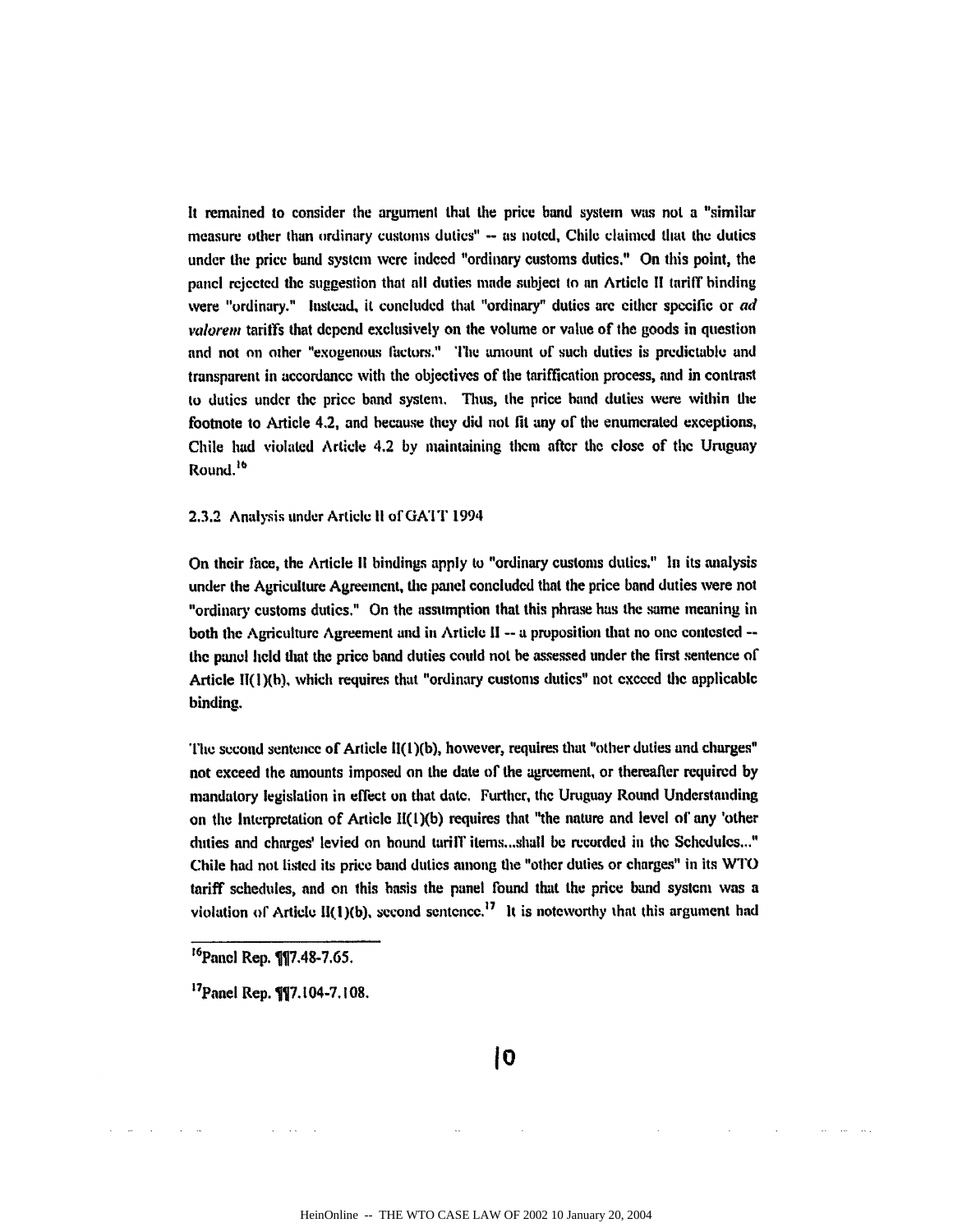It remained to consider the argument that the price band system was not a "similar measure other than ordinary **customs** duties" **--** as noted, Chile claimed that the duties under the price **band** system were indeed "ordinary customs duties." On this point, the panel rejected the suggestion that **all** duties made subject to an Article **II** tariff binding were "ordinary." Instead, it concluded that "ordinary" duties are either specific **or** *ad valorem* tariffs that depend exclusively on the volume or value of the goods in question and not on other "exogenous factors." The amount of such duties is predictable and transparent in accordance with the objectives of the tariffication process, and in contrast to duties under the price band system. Thus, the price band duties were within the footnote to Article 4.2, and because they did not fit any of the enumerated exceptions, Chile had violated Article 4.2 **by** maintaining them after the close of the Uruguay Round.<sup>16</sup>

**2,3.2** Analysis under Article **11** of **GAIT** 1994

On their **thce,** the Article **1i** bindings apply to "ordinary customs duties." In its analysis under the Agriculture Agreement, the panel concluded that the price band duties were not "ordinary customs duties." On the assumption that this phrase has the same meaning in both the Agriculture Agreement and in Article **1I --** a proposition that no one contested **-** the panel held that the price band duties could not **be** assessed under the first sentence of Article **11(l)(b),** which requires that "ordinary customs duties" not exceed the applicable binding.

The second sentence of Article II(1)(b), however, requires that "other duties and charges" not exceed the amounts imposed on the date of the agreement, or thereafter required **by** mandatory legislation in effect on that date. Further, the Uruguay Round Understanding on the Interpretation of Article ll(l)(b) requires that "the nature and level of any 'other duties and charges' levied on bound tariff items...shall **be** recorded in the Schedules..." Chile had not listed its price band duties among the "other duties or charges" in its WTO tariff schedules, and on this basis the panel found that the price **band** system was a violation of Article **11(1)(b),** second sentence.17 It is noteworthy that this argument **had**

<sup>16</sup>Panel Rep. **117.48-7.65.**

<sup>&</sup>quot; 7Panel Rep. **117.104-7.108.**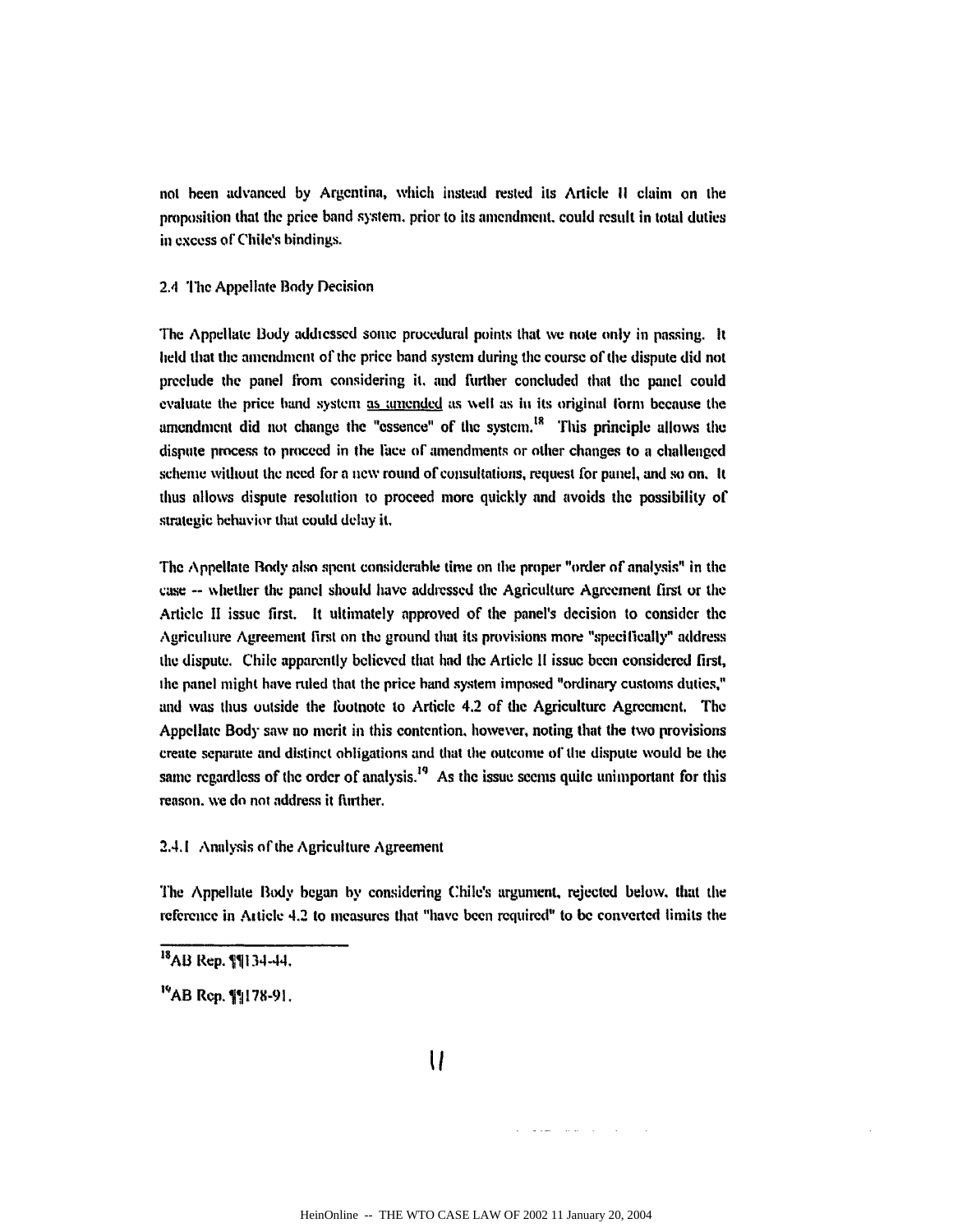not been advanced **by** Argentina, which instead rested its Article **II claim** on the proposition that the price band system. prior to its amendment. could result in total duties in excess of Chile's bindings.

#### 2.4 **The** Appellate Body Decision

The **Appellate** Body addicssed somc procedural points that we note only in passing. It held that the amcndmcnt of the price band system during the course of the dispute did not preclude the panel from considering **it,** and frurther concluded that **the** panel could evaluate the price band system as amended as well as in its original form because the amendment did not change the "essence" of the system.<sup>18</sup> This principle allows the dispute process to proceed in **Ihe Ibce of** amendments or other changes to **a** challenged scheme without the need for **a** new round of consultations, request for **panel,** and so **on. It** thus allows dispute resolution to proceed more quickly and avoids the possibility of strategic behavior that could **delay** it,

The Appellate **Body** also spent considerable time on the proper "order **of** analysis" in the case **--** Nlhutlier the panel should have addressed the Agriculture Agreement first or the Article **II** issue first. It ultimately approved of **the** panel's decision to consider the Agriculture Agreement first on the ground that its provisions more "specilically" address the dispute. Chile apparently believed that **had** the Article **11** issue been considered first, the **panel** might have ruled that the price hand system imposed "ordinary customs duties," and was thus outside the footnote to Article 4.2 of the Agriculturc Agreement, The Appellate Body **saw** no **merit** in this contention, however, noting that the two provisions create separate and distinct obligations and that the outcome of the dispute would **be** the same regardless of the order of analysis.<sup>19</sup> As the issue seems quite unimportant for this reason, we **do** not address it further.

2.4.1 Analysis of the Agriculture Agreement

The Appellate **Body** began **by** considering Chile's argument, rejected below, that the reference in Aiticlc 4.2 to measures that "have been required" to be converted limits the

"AB Rep. **11178-9 1.**

**<sup>8</sup>AB Rep. 1911 3.1.1**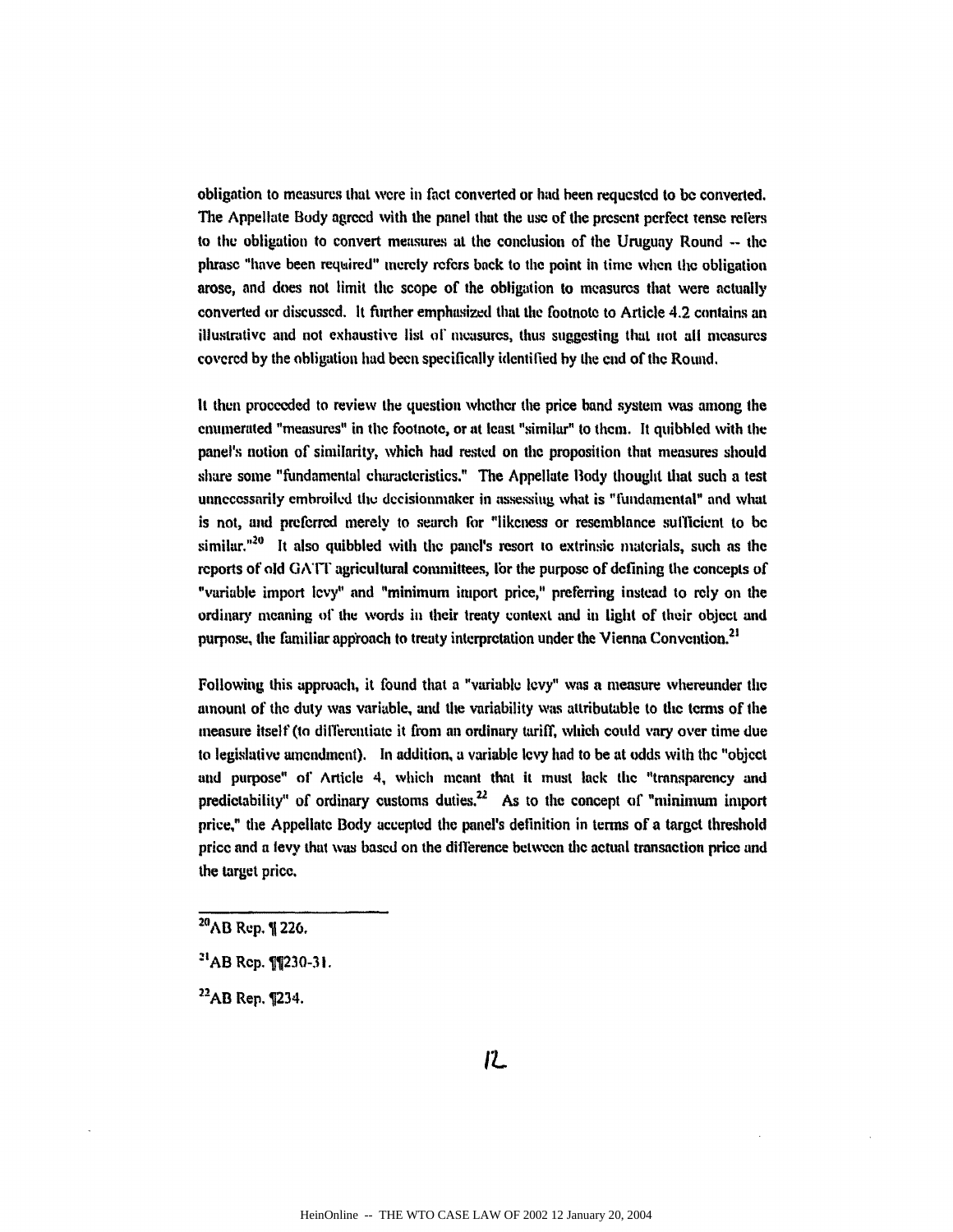obligation to measures that were in fact converted or had been requested to **be** converted. The Appellate Body agreed with the panel that the use of the present perfect tense refers to the obligation to convert measures at the conclusion of the Uruguay Round **--** the phrase "have been required" merely refers back to the point in time when the obligation arose, and does not limit the scope of the obligation to measures that were actually converted or discussed. It firther emphasized that the footnote to Article 4.2 conlains an illustrative and not exhaustive list of measures, thus suggesting that not all measures covered by the obligation had been specifically identi lied **by** the end of the Round.

It then proceeded to review the question whether the price band system was among the enumerated "measures" in the footnote, or **at** least "similar" to them. **It** quibbled with the panel's notion of similarity, which had rested on the proposition that measures should share some "fundamental characteristics." The Appellate Body thought that such a test unnecessarily embroiled the decisionmaker in assessing what is "fundamental" and what is not, and preferred merely to search For "likeness or resemblance sullicient to **be** similar. $n^{20}$  It also quibbled with the panel's resort to extrinsic materials, such as the reports of old GATT agricultural committees, for the purpose of defining the concepts of "variable import levy" and "minimum import price," preferring instead to rely on the ordinary meaning of the words in their treaty context **and** in light of their object and purpose, the familiar approach to treaty interpretation under the Vienna Convention.<sup>21</sup>

Following this approach, it found that a "variable levy" was **a** measure whereunder the amount of the duty was variable, **mid** the variability was attributable to the terms of the measure itself (to differentiate it from an ordinary tariff, which could vary over time due to legislative amnendment). In addition, a variable levy **had** to be at odds with the "object and purpose" **of** Article **4,** which meant that it must lack **the** "transparency and predictability" of ordinary customs duties.<sup>22</sup> As to the concept of "minimum import price," the Appellate Body accepted the panel's definition in terms of a target threshold price and **a** levy that wvas based on the difference between the actual transaction price and the target price.

<sup>22</sup>AB Rep. ¶234.

**<sup>20</sup>AB** Rep. **1226.**

<sup>2&#</sup>x27;AB Rep, **230-31.**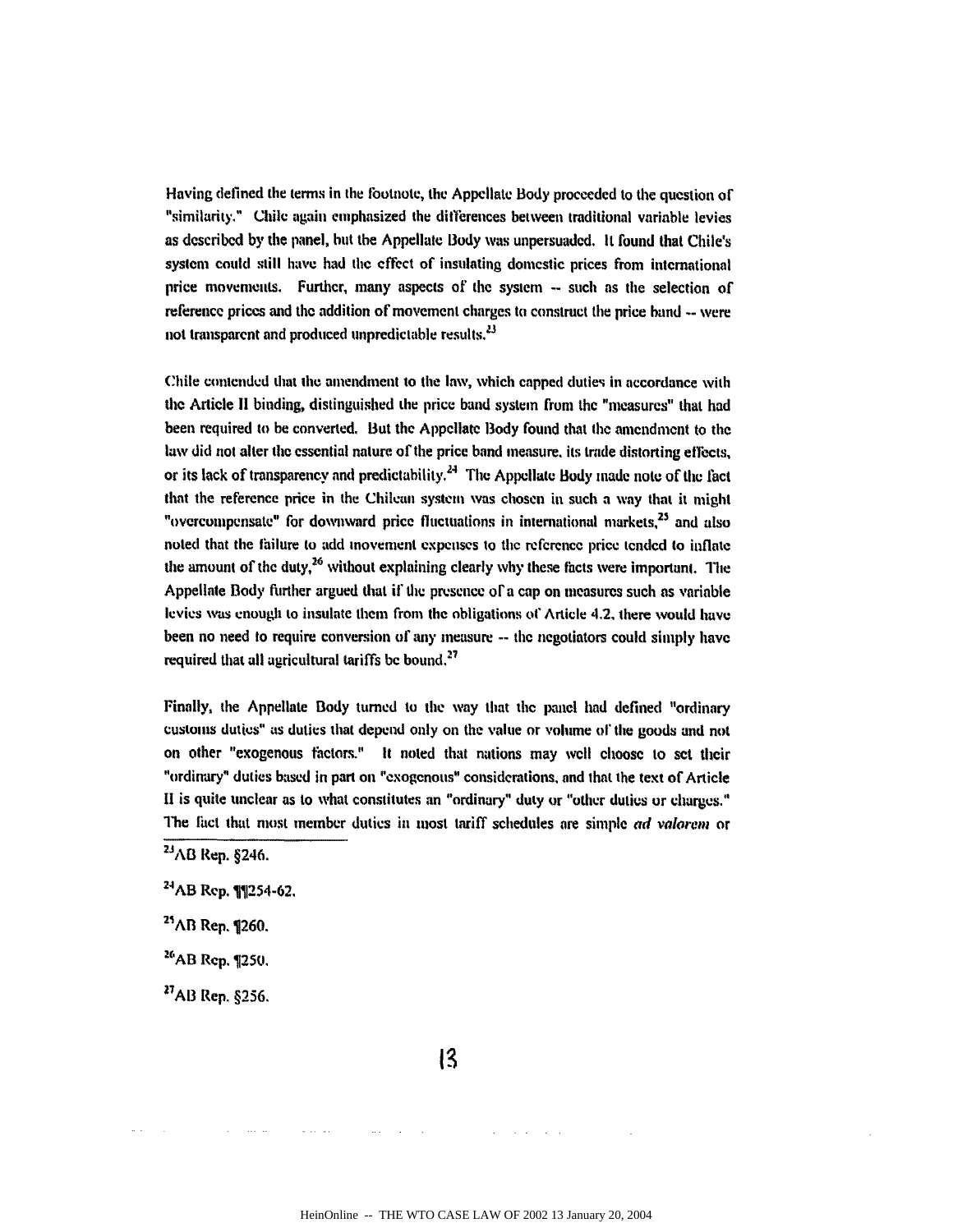Having defined **the** terms in the fbotnote, the Appellate Body proceeded to the question of "similarity.' Chile again emphasized the ditTerences between traditional variable levies as described **by** the panel, **but** the Appellate Body was unpersuaded. It found that Chile's system could still have had the effect of insulating domestic prices from international price movements. Further, many aspects **of** the system **--** such as the selection of reference prices **aod the** addition of movement charges **to** construct the price band **--** were not transparent and produced unpredictable results.<sup>23</sup>

**Chile** contended that **tile** amendment to the **law,** which capped duties in accordance with the Article **!1** binding, distinguished **the** price band system from the "measures" that had been required to **be** converted. But the Appellate Body found that the amendment to the law did not alter the essential nature of the price band measure, its trade distorting effects, or its lack of transparency and predictability.<sup>24</sup> The Appellate Body made note of the fact that the reference price in the Chilean system was chosen in such **a way** that it might "overcompensate" for downward price fluctuations in international markets.<sup>25</sup> and also noted that the lhilure to **add** movement expenses to the reference price tended to inflate the amount of the duty,<sup>26</sup> without explaining clearly why these facts were important. The Appellate **Body** firther argued that if **the** presence of a cap **on** measures such as variable levies was enough to insulate them from the obligations of Article 4.2, there would have been no need to require conversion of any measure **--** the negotiators could simply have required that all agricultural tariffs be bound.<sup>27</sup>

Finally, the Appellate Body turned to the way that the panel **had** defined "ordinary customs duties" as duties that depend only on the value or volume of the goods and not on other "exogenous factors." It noted that nations may well choose to set their "ordinary" duties based in part **on** "exogenous" considerations, and that the text of Article II is quite unclear as to what constitutes an "ordinary" duty or "other duties or charges." The **fact** that most member duties in most tariff schedules are simple *ad* valorem or

27 AB Rep. **§256.**

<sup>&</sup>lt;sup>23</sup> AB Rep. §246.

<sup>&</sup>lt;sup>4</sup>AB Rep. **11**254-62.

<sup>2</sup> MAB Rep. **1260.**

<sup>&#</sup>x27;AB Rep. **250.**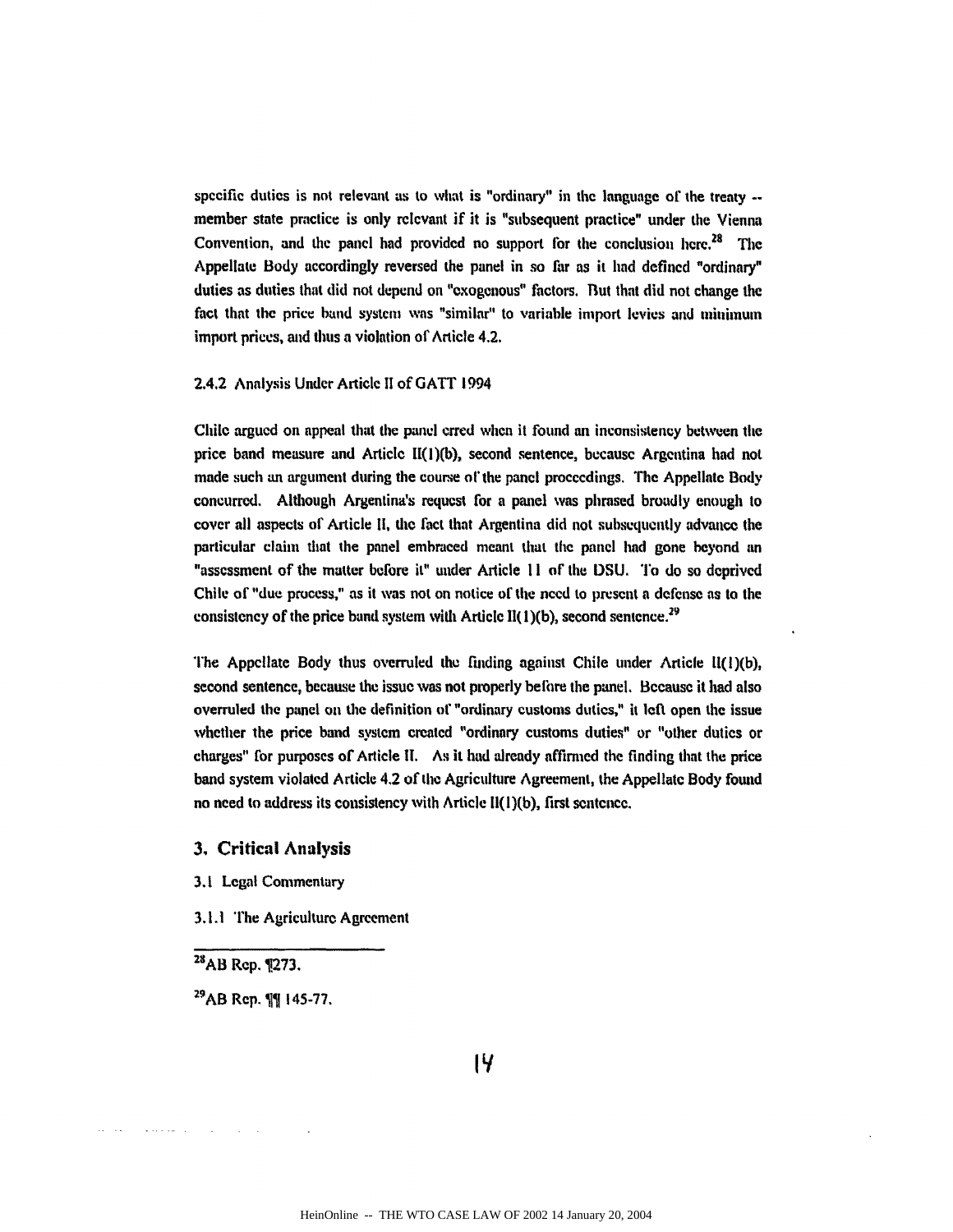specific duties is not relevant as to what is "ordinary" in the language of the treaty **-** member state practice is only relevant if it is "subsequent practice" under the Vienna Convention, and the panel had provided no support for the conclusion here.<sup>28</sup> The Appellate Body accordingly reversed the panel in so far as it **had** defined "ordinary" duties as duties that **did** not depend on "exogenous" factors, But that did not change the fact that the price band system was "similar" to variable import levies and minimum import prices, and thus **a** violation of Article 4.2.

#### 2.4.2 Analysis Under Article **11** of **GATT** 1994

Chile argued on **appeal that** the panel erred when it found an inconsistency between **tile** price band measure and Article **11(l)(b),** second sentence, because Argentina **had** not made such an argument during the course of the panel proceedings. The Appellate Body concurred. Although Argentina's request for a panel was phrased broadly enough to cover **all** aspects of Article **11,** the fact that Argentina did not subsequently advance the particular claim that **the** panel embraced meant that the panel had gone beyond an "assessment of the matter before it" under Article **II of** the **DSU.** To do so deprived **Chile** of "due process," as it **was** not on notice of the need to present a defense as to the consistency of the price band system with Article **1l(l)(b),** second sentence. <sup>29</sup>

**The** Appellate Body thus overruled the finding against Chile under Article **1l(l)(b),** second sentence, because the issue was not properly bel'ore the panel. Because it had also overruled the panel on the definition of "ordinary customs duties," it **left** open the issue whether the price band system created "ordinary customs duties" or "other duties or charges" for purposes of Article **If.** As it **had** already affirmed the finding that **the** price band system violated Article 4.2 of the Agriculture Agreement, the Appellate Body found no need to address its consistency with Article **11(l)(b),** first sentence.

#### **3.** Critical Analysis

**3.1** Legal Commentary

**3.1.1 The** Agriculture Agreement

28<sub>AB</sub> Rep. **1273**.

 $\sim$  100 km s  $\sim$  100 km s  $^{-1}$ 

29AB Rep. **145-77.**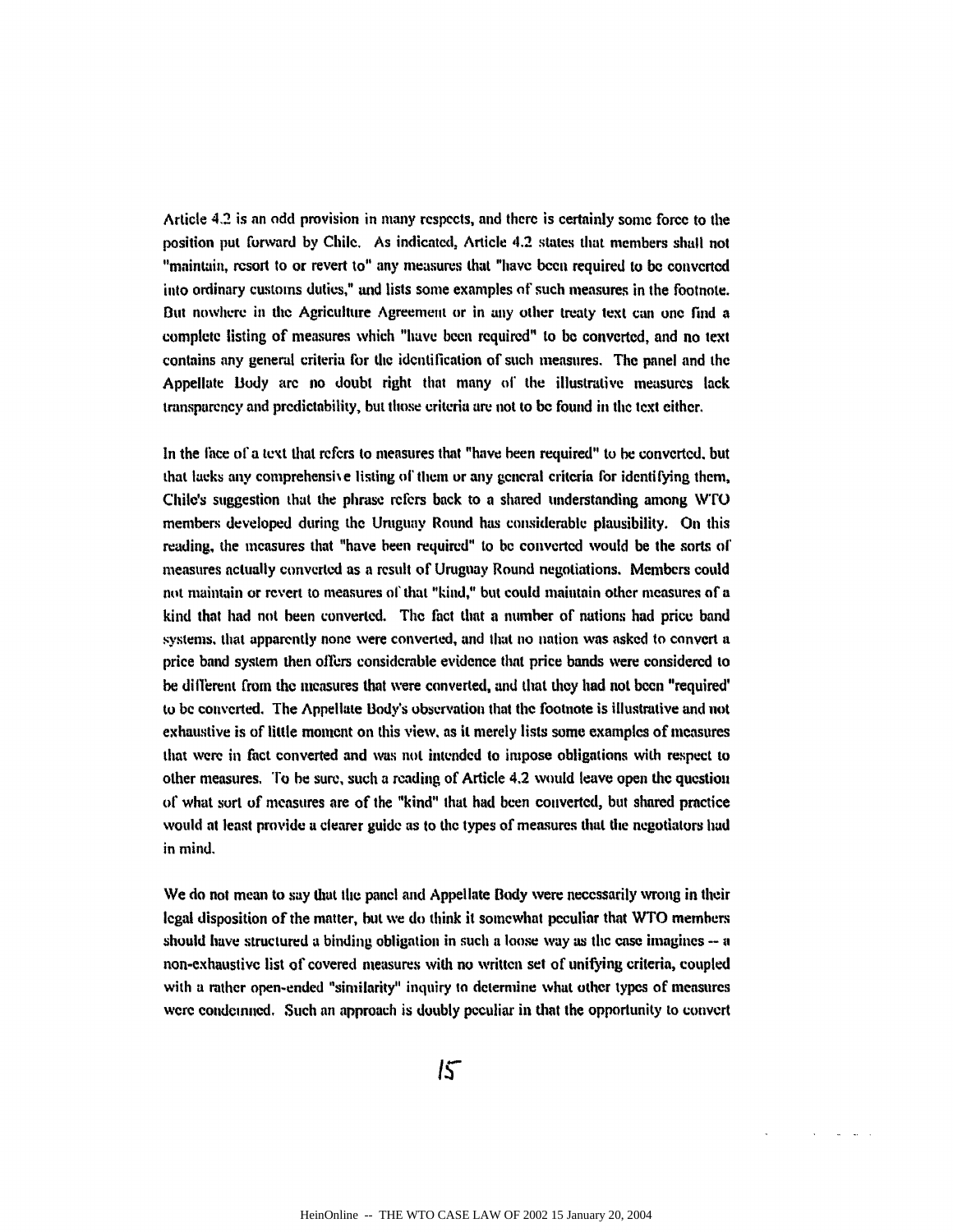Article 4.2 is an **odd** provision in many respects, **and there** is certainly some force to the position put forward by Chile. As indicated, Article 4.2 states that members shall not "maintain, resort to or revert to" any measures that "have **bcen** required to **be** convcrtcd into ordinary customs duties," **mid** lists some examples **of** such measures in the footnote. But nowhere in the Agriculture Agreement or in any other treaty text **can** one **find** a complete listing of measures which "have been required" to **be** converted, and no text contains any general criteria **for the** identification of such measures. The panel and the Appellate Body arc no doubt right that many of the illustrative measures lack transparency and predictability, but those criteria are not to **be** found in **the** text either,

In the face of a text that refers to measures that "have been required" to **be** converted, but that lacks any comprehensix e listing of them or any **general** criteria for identifying them, Chile's suggestion that the phrase refers back to a shared understanding among WTO members developed during the Unguay Round has considerable plausibility. On this reading, the measures that "have been required" to **bc** converted would be the sorts of measures actually converted as a result of Uruguay Round negotiations. Members could not maintain or revert to measures of that "kind," but could maintain other measures of a kind that had not been converted. The fact that **a** number of nations **had** price band systems. that apparently none were converted, and that no nation **was** asked to **convert** a price band system then offers considerable evidence that price bands were considered to be different from the measures that were converted, and that they had not been "required" to be converted. The Appellate Body's observation that the footnote is illustrative and not exhaustive is of little moment on this view, as it merely lists some examples of measures that were in fact converted and was not intended to impose obligations with respect to other measures. To **be** sure, such **a** reading of Article 4.2 would leave open **the** question of what sort of measures are of the "kind" that had been converted, but shared practice would at least provide a clearer guide as to the types of measures that the negotiators had in mind.

We do not mean to say that the panel and Appellate Body were necessarily wrong in their legal disposition of the matter, but we do think it somewhat peculiar that WTO members should have structured a binding obligation in such a loose way as the case imagines -- **a** non-exhaustive list of covered measures with no written set of unitying criteria, coupled with a rather open-ended "similarity" inquiry **to** determine what other **types** of measures were condemned. Such an approach is doubly peculiar in that the opportunity to convert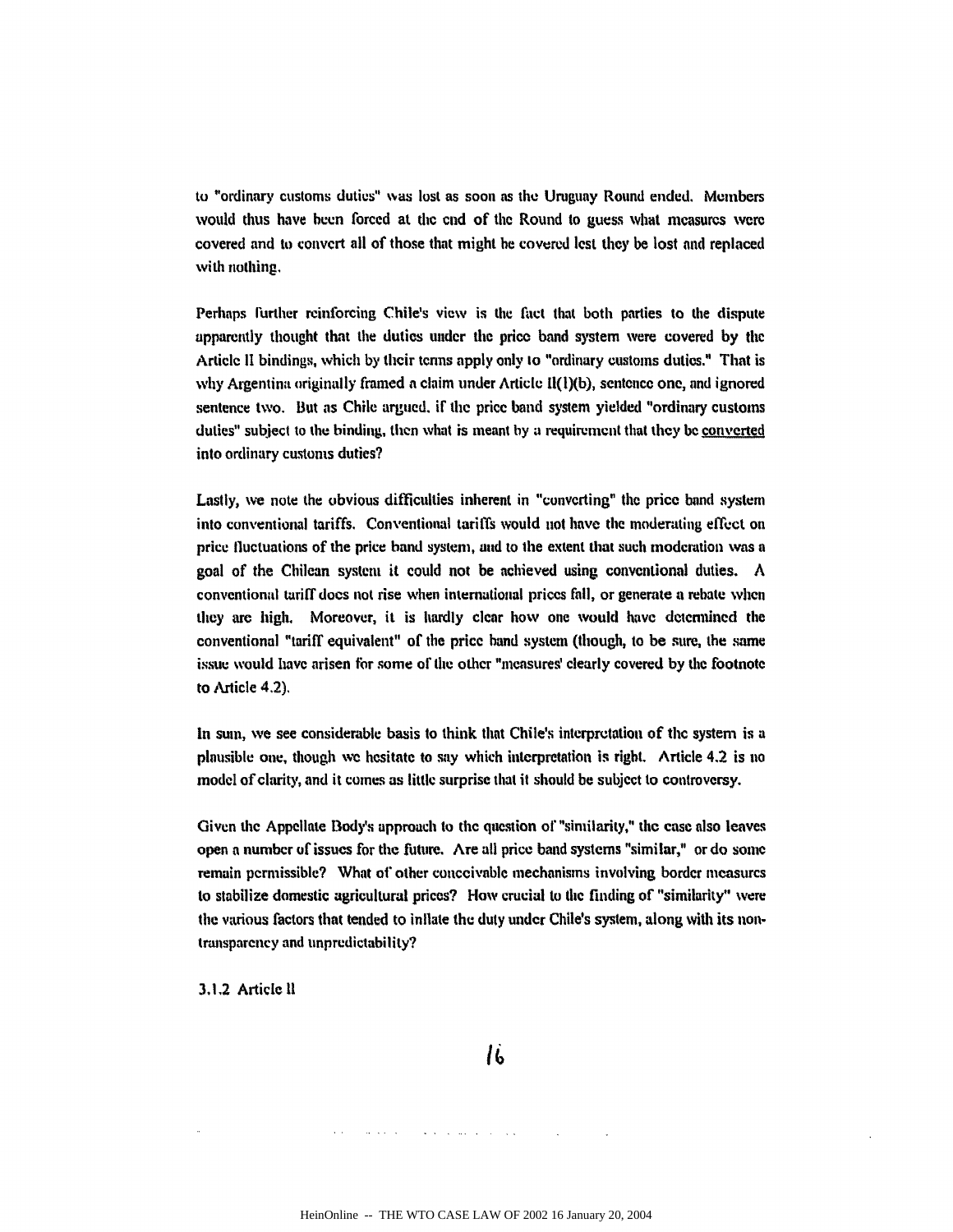to "ordinary customs duties" was lost as soon as the Uruguay Round ended. Members would thus have been forced at the **cnd** of the Round to guess what measures were covered and to convert all of those that might **he** covered lest they be lost and replaced with nothing.

Perhaps Further reinforcing Chile's view is the **fact** that both parties to the dispute apparently thought that the duties under the price band system vere covered **by the** Article **11** bindings, which **by** their **terms apply** only to "ordinary customs duties." That is why Argentina originally framed **a** claim under Article **ll(l)(b),** sentence one, and ignored sentence two. But as Chile argued, if the price band system yielded "ordinary customs" duties" subject to the binding, then what is meant **by** a requirement that they **be** converted into ordinary customs duties?

Lastly, we note the obvious difficulties inherent in "converting" the price band system into conventional tariffs. Conventional tariffs would not have the moderating effect on price fluctuations of the price band system, and to the extent that such moderation **was** a goal of the Chilean system it could not be achieved using conventional duties. **A** conventional tariff does not rise when international prices **fall,** or generate **a** rebate when they **ar** high, Moreover, it is hardly clear how one would have determined the conventional "tariff equivalent" of the price hand system (though, to be sure, the same **issue** would have arisen for **some** of **the** other "measures' clearly covered **by the** footnote to Article 4.2).

In sum, **we** see considerable basis to think that Chile's interpretation of the system is a plausible one, though we hesitate to say which interpretation is right. Article 4.2 is no model of clarity, and it comes as little surprise that it should be subject to controversy.

Given the Appellate Body's approach to the question **o1** "similarity," the case also **leaves** open a number **of** issues for the future. Are **all** price band systems "similar," or **do** some remain permissible? What **of"** other conceivable mechanisms involving border measures to stabilize domestic agricultural prices? How crucial to the finding of "similarity" were the various factors that tended to inflate the duty under Chile's system, along with its nontransparency and unpredictability?

**3.1.2** Article **II**

and the state of the state of the state of the state of the state of the state of the state of the state of the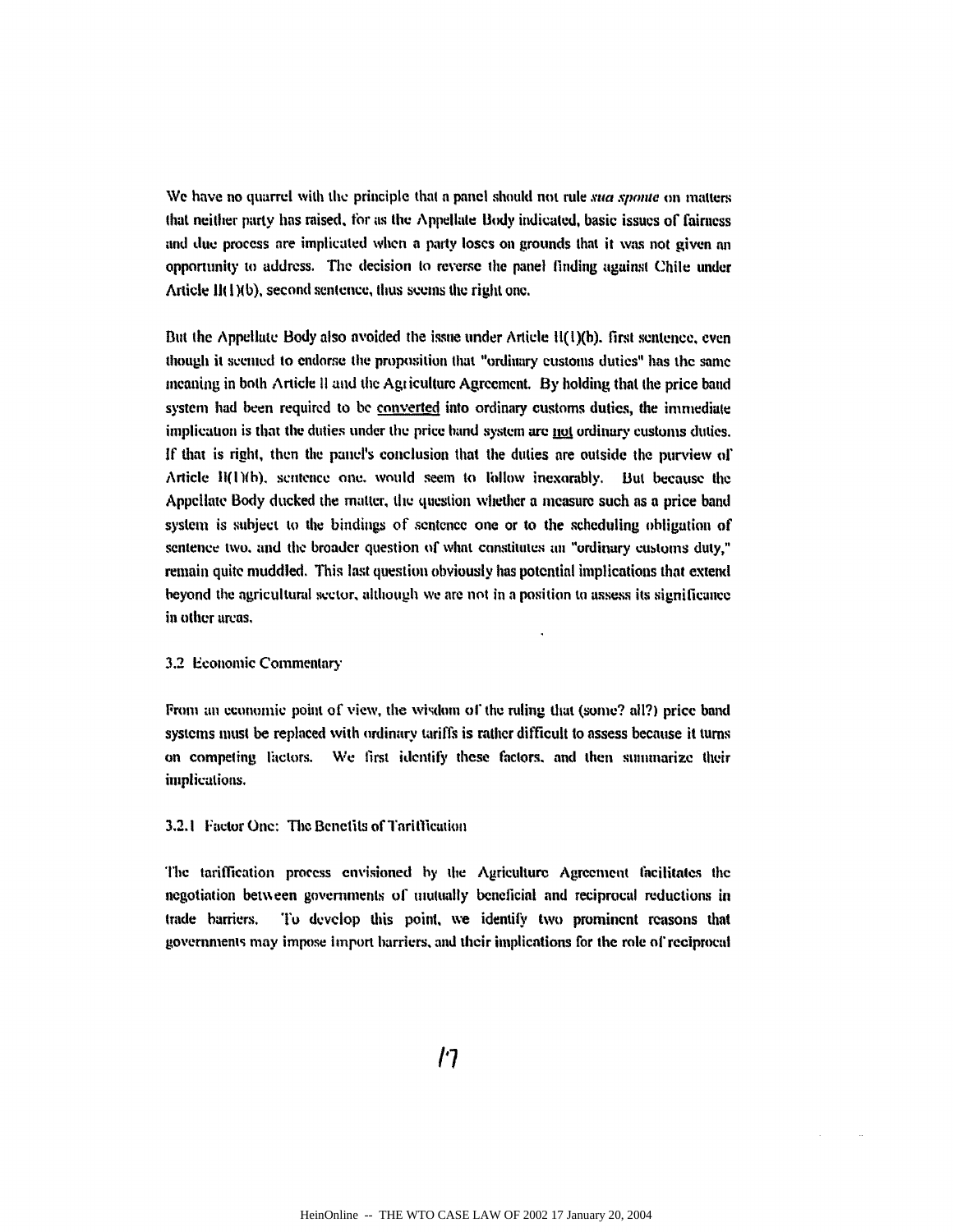We have no quarrel with the principle that a panel should not rule *sua sponte* on matters that neither party has raised, **for** as **the** Appellate **Body** indicated, basic issues of fairness and due process are implicated when **a** party loses **on** grounds that it **was** not given **an** opportunity to address. **The** decision to reverse **the** panel finding against Chile under Article **11(1)(b)**, second sentence, thus seems the right one.

But the Appellate Body also avoided the issue under Article **II**(1)(b), first sentence, even though it seemed to endorse the proposition that "ordinary customs duties" has **the** same meaning in both Article **11** and the Agi iculturc Agreement. **By** holding that the price band system had been required to be converted into ordinary customs duties, the immediate implication is that the duties under the price hand system are not ordinary customs duties. **If** that is right, then the panel's conclusion that the duties are outside the purview of' Article **11(l** *h),* sentence one. **would** seem to Iblow inexorably. But because the Appellate Body ducked the matter, the question whether a measure such as a price band system is subject to the bindings of sentence one or to the scheduling obligation of sentence two. and the broader question of what constitutes an "ordinary customs duty," remain quite muddled. This last question obviously has potential implications that extend beyond **the** agricultural sector, although we are not in a position **to** assess its significance in other areas.

#### **3.2** Economic Commentary

From an economic point of view, the wisdom of the ruling that (some? all?) price band systems must be replaced with ordinary tariffs is rather difficult to assess because it turns on competing fhctors. We first identify these factors. and then summarize their implications.

#### **3.2.1** Factor **One: The** Benefits of Tariftication

**The** tariffication process envisioned **by** the Agriculture Agreement facilitates the negotiation betNeen governments of mutually beneficial and reciprocal reductions in trade barriers. To develop this point, we identify two prominent reasons that governments may impose import barriers, and their implications for the role of reciprocal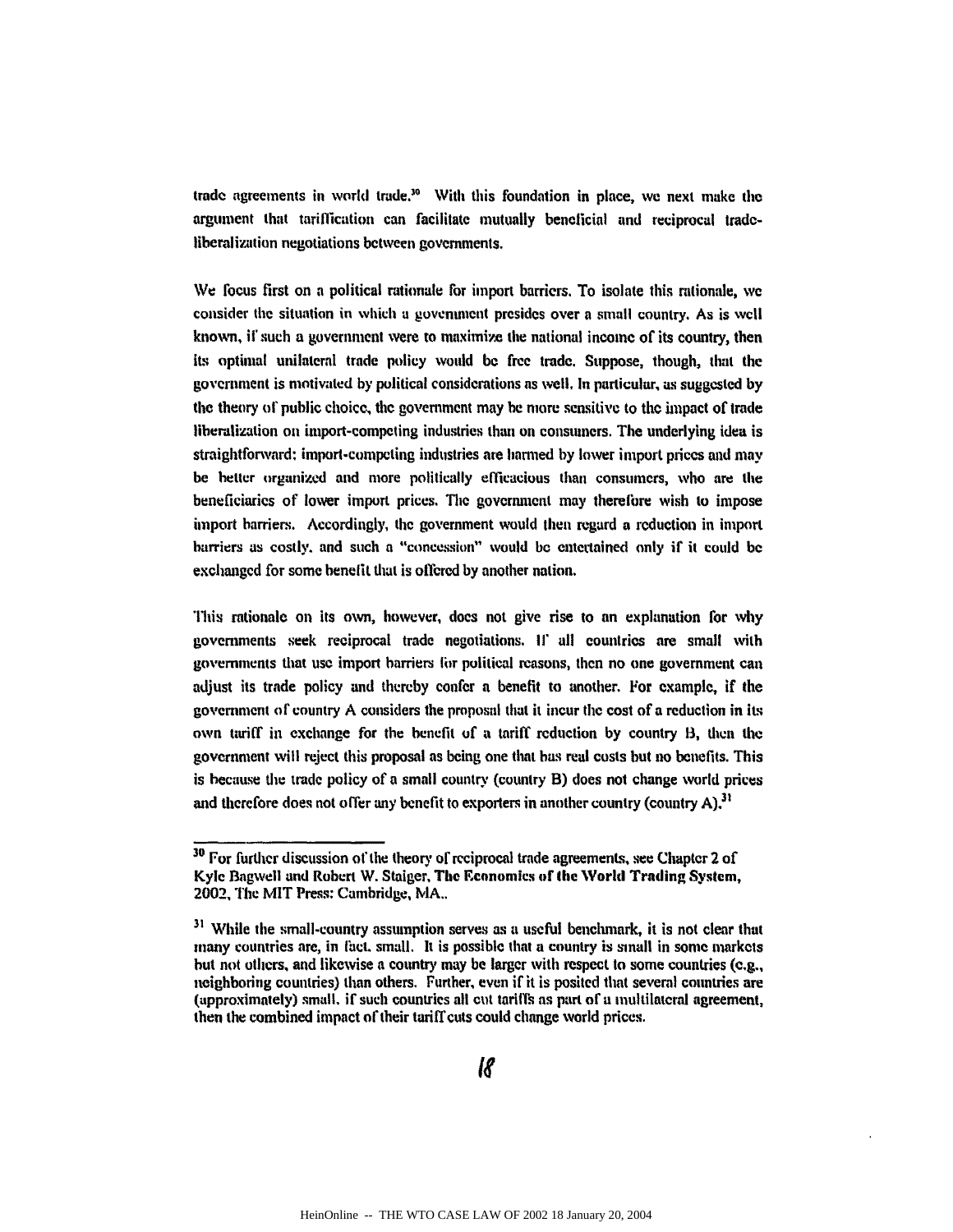trade agreements in world trade.<sup>30</sup> With this foundation in place, we next make the argument that tariflication can facilitate mutually beneficial and reciprocal tradeliberalization negotiations between governments,

We focus first on a political rationale for import barriers. To isolate this rationale, **we** consider the situation in which **a** government presides over **a** small country. **As** is well known, if such a government were to maximize the national income of its country, then its optimal unilateral trade policy would **be** free trade. Suppose, though, that the government is motivated **by** political considerations as well. In particular, as suggested **by** the theory ol' public choice, the government may he more sensitive **to** the impact of trade liberalization on import-competing industries than on consumers. The underlying idea is straightforward: import-competing industries are harmed **by** lower import prices and may **be** better organized and more politically efficacious than consumers, who are **the** beneficiaries of lower import prices. The government may therelbre wish to impose import barriers. Accordingly, the government would then regard a reduction in import barriers as costly, and such a "concession" would **be** entertained only if it could **be** exchanged for some benefit that is offered **by** another nation.

This rationale on its own, however, does not give rise to an explanation for why governments seek reciprocal trade negotiations. **I' all** countries are small with governments that use import barriers **tbr** political reasons, then no one government can adjust its trade policy and thereby confer a benefit to another, For example, if the government of country A considers the proposal that it incur the cost of a reduction in its own tariff in exchange for the benefit **of** a tariff reduction **by** country B, then the government will reject this proposal as being one that has real costs but no benefits. This is because the trade policy of a small country (country B) does not change world prices and therefore does not offer any benefit to exporters in another country (country **A).3 '**

**<sup>30</sup>**For further discussion of the theory of reciprocal trade agreements, see Chapter 2 of **Kyle** Bagwell and Robert W. Staiger, The Economics of fle World Trading System, 2002, The MIT Press: Cambridge, MA..

**<sup>31</sup>** While the small-country assumption serves as **a** useful benchmark, it is not clear that many countries are, in **lhct.** small. It is possible that **a** country is small in **some** markets but not others, and likewise a country may **be** larger with respect to some countries **(e.g.,** neighboring countries) than others. Further, even if it is posited that several countries are (approximately) small, if such countries **all** cut tarlIf as part of a multilateral agreement, then the combined impact of their tariff cuts could change world prices.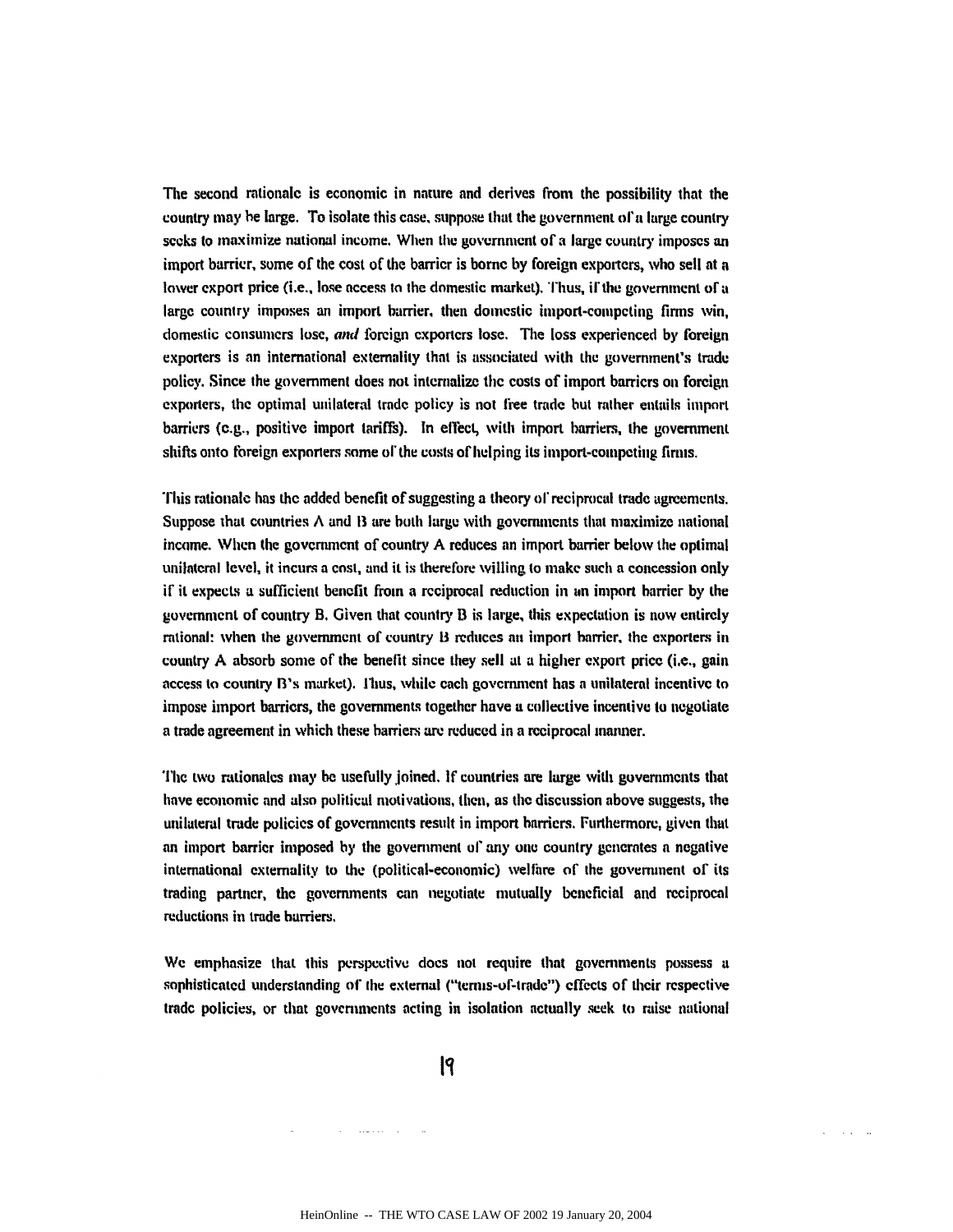The second rationale is economic in nature and derives from the possibility that the country may he large. To isolate this case, suppose that the government ol'a large country **seeks** to maximize national income. When **the** government of a large country imposes an import barrier, some of the cost of the barricr is borne **by** foreign exporters, who sell at a lower export price (i.e., lose access **to** the domestic market). Thus, if the government **of** a large country imposes an import barrier, then domestic import-competing firms win, domestic consumers lose, and foreign exporters lose. The loss experienced **by** foreign exporters is an international externality that is associated **with** the government's trade policy. Since the government does not internalize the costs of import barriers on foreign exporters, **the** optimal unilateral trade policy is not free trade but rather entails import barriers (e.g., positive import tariffs). In effect, with import barriers, the government shifts onto foreign exporters some ol'the costs of helping its import-competing firms.

This rationale has the **added** benefit of suggesting **a** theory of reciprocal trade agreements. Suppose that countries **A** and **13** are both large with governments that maximize national income. When the government of country **A** reduces an import barrier below the optimal unilateral level, it incurs **a** cost, and it is therefore willing to make such a concession only if it expects a sufficient benefit from a reciprocal reduction in ion import barrier **by** the government of country B. Given that country B is large, this expectation is now entirely rational: when the government of country B reduces an import barrier, the exporters in country **A** absorb some of the benefit since they sell at a higher export price (i.e., gain access to country B's market). Thus, while each government has a unilateral incentive to impose import barriers, the governments together have a collective incentive to negotiate a trade agreement in which these barriers **are** reduced in a reciprocal mariner.

**'The** two rationales **may be** usefully joined. **If** countries are large with governments that have economic and also political motivations, then, as the discussion above suggests, the unilateral trade policies of governments result in import barriers. Furthermore, given that an import barrier imposed **by** the government of any one country generates **a** negative international externality to the (political-economic) welfare of the government of its trading partner, the governments can negotiate mutually beneficial and reciprocal reductions in trade barriers.

We emphasize that this perspective does not require that governments possess a sophisticated understanding of **ihe** external ("terms-of-trade") effects of their respective trade policies, or that govcrnments acting in isolation actually seek to raise national

19

سادا المنتقل المنتقلة

**Contractor**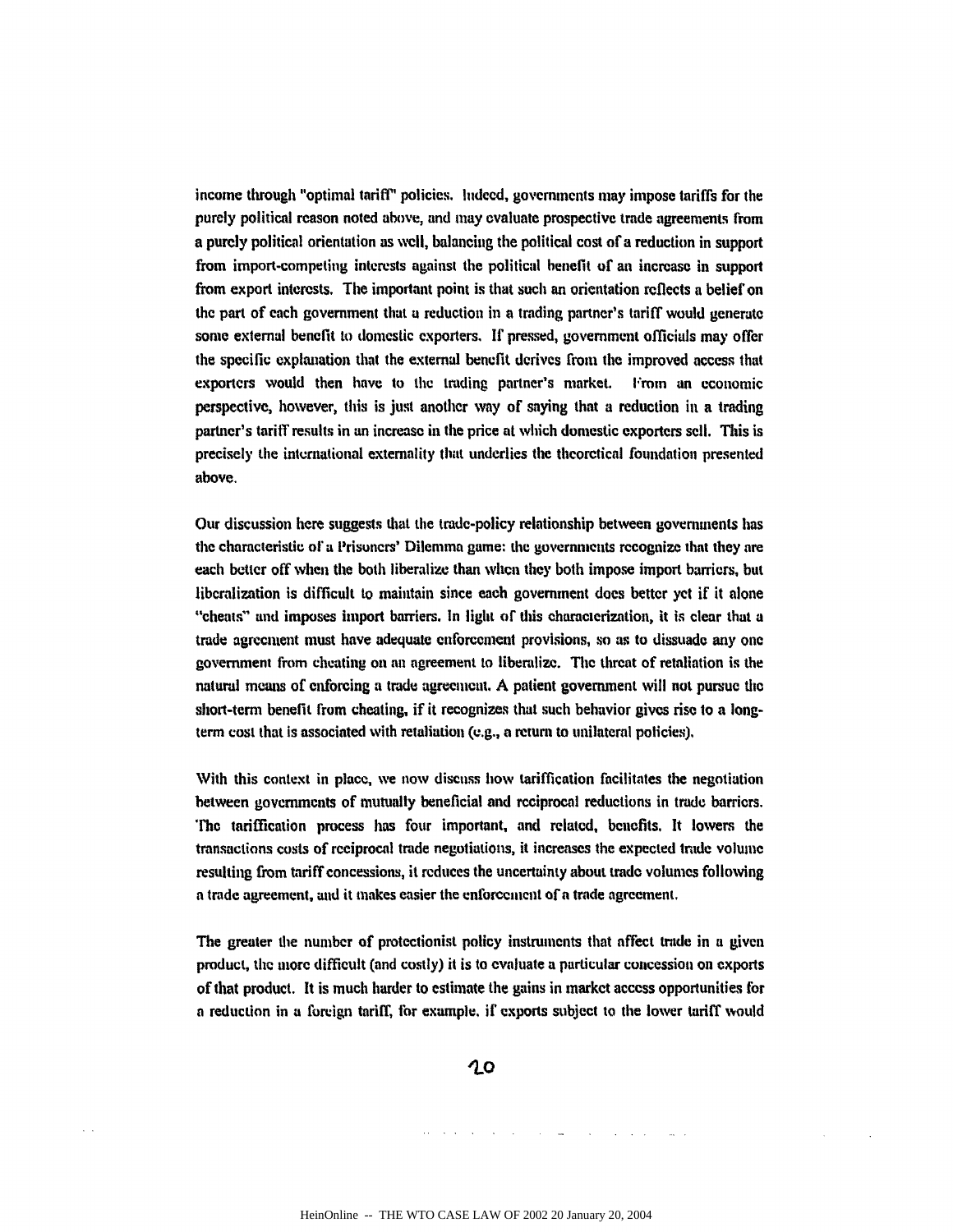income through "optimal tariff' policies. Indeed, governments may impose tariffs for the purely political reason noted above, and may evaluate prospective trade agreements from a purely political orientation as **wcll,** balancing the political cost of a reduction in support from import-competing interests against the political benefit **of** an increase in support from export interests. The important point is that such an orientation reflects a belief on the part of each government that **a** reduction in a **trading** partner's tariff would generate some external benefit to domestic exporters. **If** pressed, government officials may offer the specific explanation that the external benefit derives from the improved access that exporters would then have to the trading partner's market. From an economic perspective, however, this is just another way of saying that a reduction in a trading partner's tariff results in an increase in the price at which domestic exporters sell. This is precisely the international externality that underlies the theoretical foundation presented above.

Our discussion here suggests that the trade-policy relationship between governments has the characteristic of a Prisoners' Dilemma game: the governments recognize that they are each better off when the both liberalize than when they both impose import barriers, but liberalization is difficult to maintain since each government does better yet if it alone "cheats" and imposes import barriers. In light of this characterization, it is clear that a trade agreement must have adequate enforcement provisions, so as to dissuade any one government from cheating on an agreement to liberalize. The threat of retaliation is the natural means of enforcing a trade agreement. **A** patient government will not pursue the short-term benefit from cheating, if it recognizes that such behavior gives rise to a longterm cost that is associated with retaliation (e.g., a return to unilateral policies),

With this context in place, **we** now discuss **how** tariffication facilitates the negotiation between governments of mutually beneficial and reciprocal reductions in trade barriers. **The** tariffication process has four important, and related, benefits, It lowers the transactions costs of reciprocal trade negotiations, it increases the expected trade volume resulting from tariff concessions, it reduces the uncertainty about trade volumes following **a** trade agreement, and it makes easier the enforcement of **a** trade agreement,

The greater the number of protectionist policy instruments that affect trade in **a** given product, the more difficult (and costly) it is to evaluate a particular concession on exports of that product. It is much harder to estimate the gains in market access opportunities for a reduction in a foreign tariff, for example, if exports subject to the lower tariff would

**1q0**

and a series of the control of the control of the control of the control of the control of the control of the control of the control of the control of the control of the control of the control of the control of the control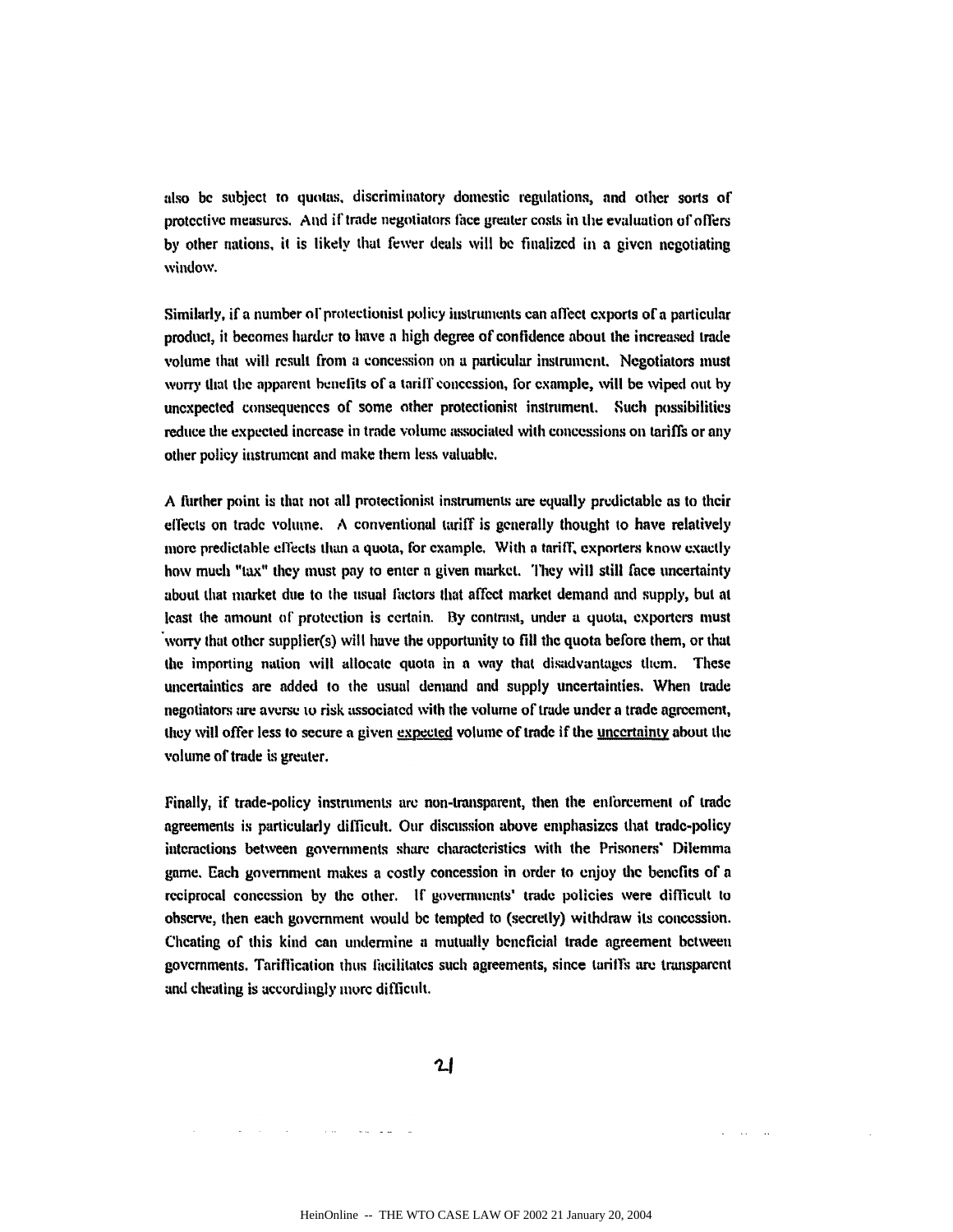also **be** subject to quotas, discriminatory domestic regulations, and other sorts of protcctivc measures. And if trade negotiators fhce greater costs in the evaluation of **loffers by** other nations, it is likely that fewer deals will **be** finalized in a given negotiating window.

Similarly, if a number of protectionist policy instruments can affect exports of a particular product, it becomes harder to have a high degree of confidence about the increased trade volume that will result from a **concession** on a particular instrument. Negotiators must worry that the apparent benefits of a tariff concession, for example, will **be** wiped out **by** unexpected consequences of some other protectionist instrument. Such possibilities reduce the expected increase in trade **volume** associated with concessions on tariffs or any other policy instrument and make them less valuable.

**A** firther point is that not all protectionist instruments **are** equally predictable as to their effects on trade volume. **A** conventional tariff is generally thought to have relatively more predictable effects than a quota, for example. With a **tariff,** exporters know exactly **how** much "tax" they must **pay** to enter a given market. They will still face uncertainty about that market due to the usual **Ihtcors** that affect market demand and supply, but at least the amount of protection is certain, **By** contrast, under a quota, exporters must worry that other supplier(s) will have the opportunity to fill **the** quota before them, or that the importing nation will allocate quota in a way that disadvantages them. These uncertainties are added to the usual demand and supply uncertainties. When trade negotiators are averse to risk associated with the volume of trade under **a** trade agreement, they will offer less to secure a given **expected volume of trade if the <u>uncertainty</u> about the** volume of trade is greater.

Finally, if trade-policy instruments are non-transparent, then the enflorcement of trade agreements is particularly difficult. Our discussion above emphasizes that trade-policy interactions between governments share characteristics with the Prisoners' Dilemma game. Each government makes a costly concession in order to **enjoy** the benefits of a reciprocal concession by the other. If governments' trade policies were difficult to observe, then each government would be tempted to (secretly) withdraw its concession. Cheating of this kind can undermine a mutually beneficial trade agreement between governments. Tariffication thus incilitates such agreements, since tariffs are transparent and cheating is accordingly more difficult.

 $\Delta\phi=0.1$ 

and the state of the state of the

**Allen Ave**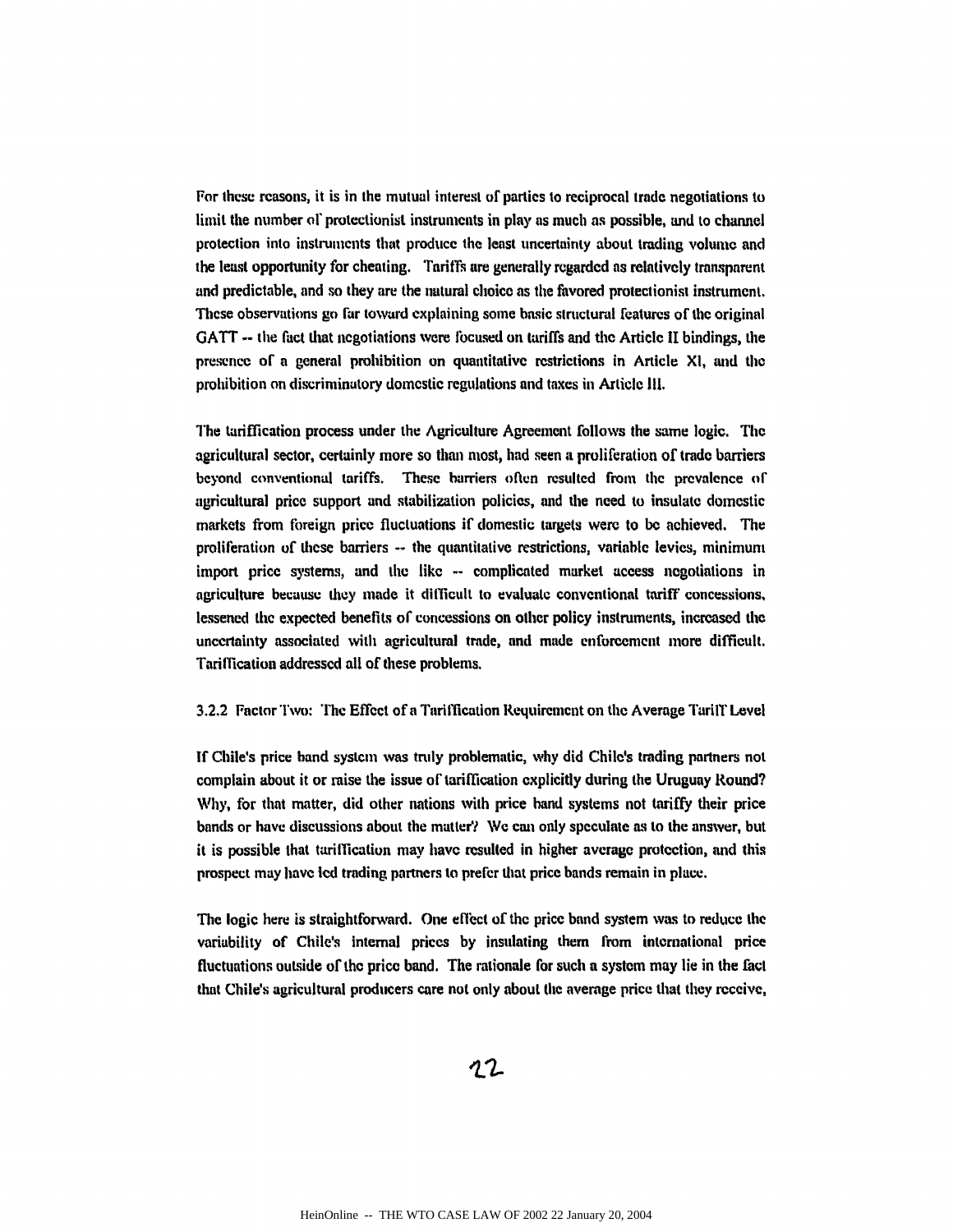For these reasons, it is in the mutual interest **of** parties to reciprocal trade negotiations to limit the number **of"** protectionist instruments in play as much as possible, and to channel protection into instruments that produce the least uncertainty about trading volume and the least opportunity for cheating. Tariffs are generally regardcd as relatively transparent and predictable, and so they are the natural choice as the favored protectionist instrument. These observations **go** far toward explaining some basic structural features of **the** original **GATT --** the fact that negotiations were Focused on tariffs and the Article **I** bindings, the presence of **a** general prohibition on quantitative restrictions in Article Xl, **and the** prohibition on discriminatory domestic regulations and taxes in Article **ii.**

The tariffication process under the Agriculture Agreement follows the same logic. **The** agricultural sector, certainly more so than most, **had** seen a proliferation of trade barriers beyond conventional tariffs. These barriers often resulted from **the** prevalence of agricultural price support and stabilization policies, and the need to insulate domestic markets from foreign price fluctuations if domestic targets were to **be** achieved. The proliferation **of** these barriers **--** the quantitative restrictions, variable levies, minimum import price systems, and the like **--** complicated market access negotiations in agriculture because they made it difficult to evaluate conventional tariff concessions, lessened the expected benefits of concessions on other policy instruments, increased the uncertainty associated with agricultural trade, and made enforcement more difficult. Tarillication addressed all of these problems.

#### **3.2.2** Factor **Two:** The Effect of **a** Tariffication Requirement on the Average Tariff Level

**If** Chile's price band system was truly problematic, why did Chile's trading partners not complain about it or raise the issue of tariffication explicitly during the Uruguay Round? Why, for that matter, did other nations with price band systems not tariffy their price bands or have discussions about the matter? We can only speculate as to the answer, but it is possible that tariffication may have resulted in higher average protection, and this prospect may have **led** trading partners to prefer that price bands remain in place.

The logic here is straightforward. One effect of the price band system was to reduce the variability of Chile's internal prices **by** insulating them from international price fluctuations outside of the price band. The rationale for such **a** system may lie in the fact that Chile's agricultural producers care not only about the average price that they receive,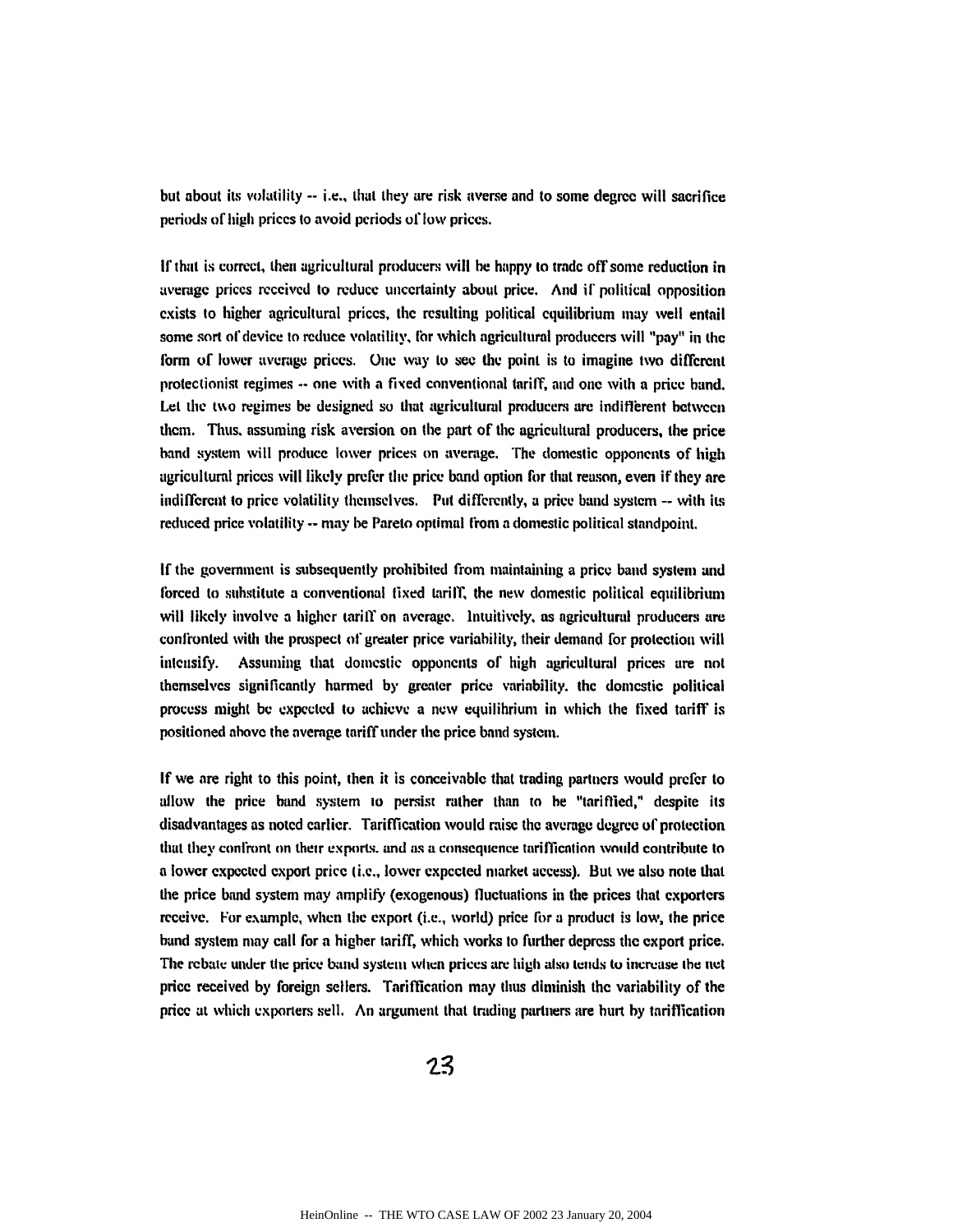but about its volatility **--** i.e., that **they** are risk averse and to some degree will sacrifice periods of high prices to avoid periods of low prices.

**If** that is correct, then agricultural producers **will be happy** to trade off some reduction in average prices received to reduce uncertainty about price. And if' political opposition exists to higher agricultural prices, the resulting political equilibrium may well entail some sort **of** device to reduce volatility, for which agricultural producers will **"pay"** in the form of lower average prices. One way to see the point is to imagine two different protectionist regimes **--** one with a fixed conventional tariff, and one with a **price** band. Let the tvo regimes **be** designed so that agricultural producers are indifferent between them. Thus, assuming risk aversion on the part of the agricultural producers, the price band system will produce lower prices on average. The domestic opponents of high agricultural prices will **likely** prefer the price band option for that reason, even if they are indifferent to price volatility themselves. Put differently, a price **band** system **--** with its reduced price volatility **--** may be Pareto optimal from a domestic political standpoint.

**If** the government is subsequently prohibited from maintaining a price band system and forced to substitute a conventional fixed tariff, the new domestic political equilibrium will **likely** involve a higher tariff on average. Intuitively, as agricultural producers are confronted with the prospect **of** greater price variability, their demand for protection will intensify. Assuming that domestic opponents of high agricultural prices are not themselves significantly harmed **by** greater price variability, the domestic political process might **be** expected to achieve a new equilibrium in which the fixed tariff is positioned above the average tariff under the price band system.

If **we** are right to this point, then it is conceivable that trading partners would prefer to allow the price hand system to persist rather than to he "tariffied," despite its disadvantages as noted carlier. Tariffication would raise the average degree of protection that they confront on their exports. and as a consequence tariffication would contribute **to** a lower expected export price (i.e., lower expected market access). But **Nve** also note that the price band system may **ampli1,** (exogenous) fluctuations in the prices that exporters receive. For **example,** when the export (i.e., world) price for a product is low, the price band system may call for **a** higher tariff, which works to further depress the export price. The rebate under the price band system when prices **are** high also tends to increase the net price received **by** foreign sellers. Tariffication may thus diminish the variability of the price at which exporters sell. An argument that trading partners are hurt **by** tariffication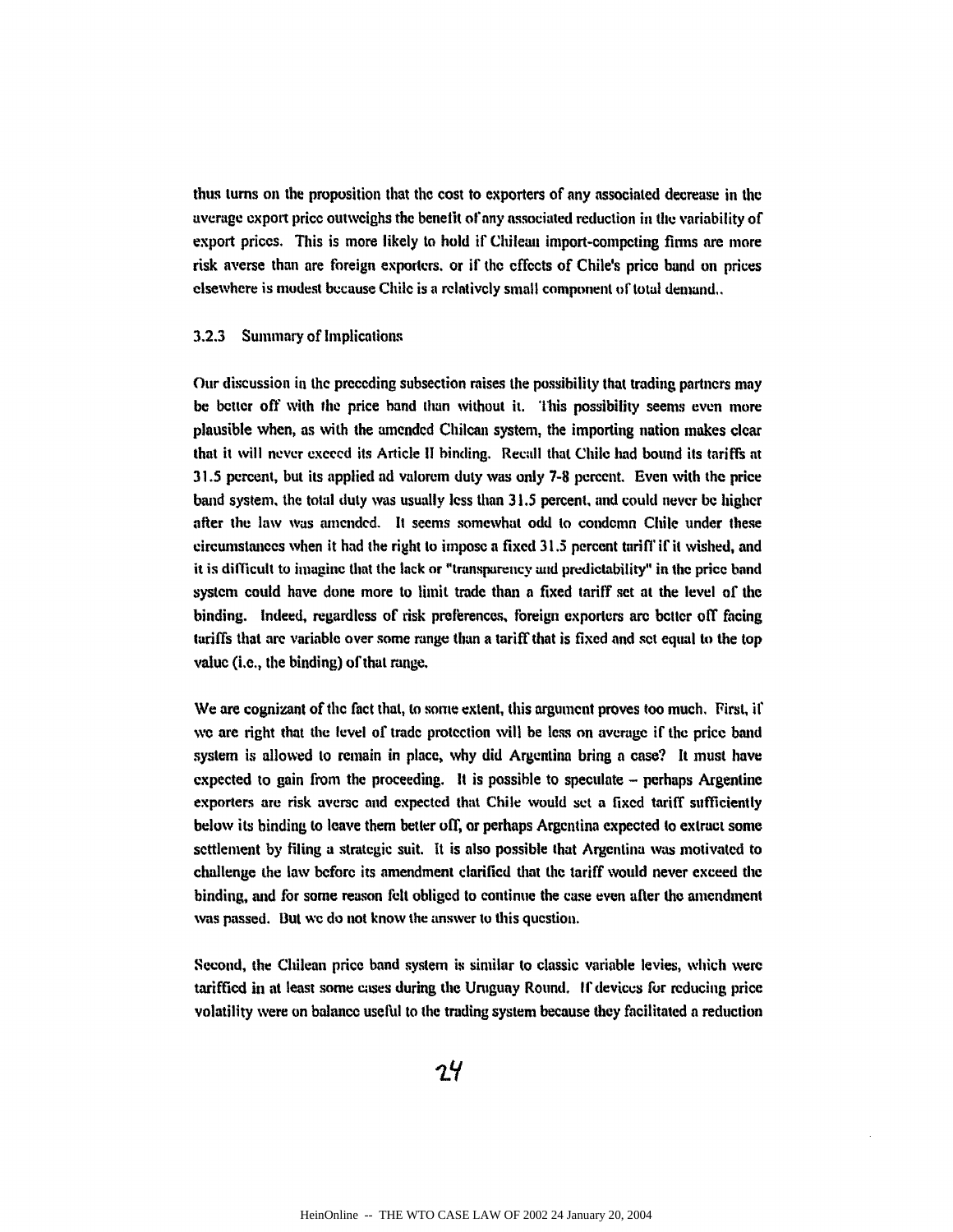thus turns on the proposition that the cost to exporters of any associated decrease in the average export price outweighs the benelit o'any associated reduction in the variability of export prices. This is more likely to hold if Chilean import-competing finns **are** more risk averse than are foreign exporters, or if the effects of Chile's price band on prices elsewhere is modest because Chile is a relatively small component **of** total demand..

#### **3.2.3** Summary of Implications

Our **discussion** in **the** preceding subsection raises the possibility that trading partners may **be** better off with the price band than without it. This possibility seems even more plausible when, as with the amended Chilean system, the importing nation makes clear that it will never exceed its Article **11** binding. Recall that Chile **had** bound its tariffs at **31.5** percent, but its applied **ad** valorem duty was only **7-8** percent. Even with the price band system, the total duty was usually less than **31.5** percent, and could never **be** higher after the law was mnended. **It** seems somewhat odd to condemn Chile under these circumstances when it **had** the right to impose a fixed **31.5** percent tariff if it wished, and **it** is difficult to imagine that the lack or "transparency **and** predictability" in the price band system could have done more to limit trade than a fixed tariff set at the level of the binding. Indeed, regardless of risk preferences, foreign exporters **are** better off facing tariffs that are variable over some range than a tariff that is fixed and set equal to the top value (i.e., the binding) of that range.

We are cognizant of the fact that, to some extent, this argument proves too much. First, if we are right that the level of trade protection will be less on average if **the** price band system is allowed to remain in place, why did Argentina bring **a** case? It must have expected to gain from the proceeding. It is possible to speculate **-** perhaps Argentine exporters are risk averse **and** expected that Chile would set a fixed tariff sufficiently below its binding to leave them better **off;** or perhaps Argentina expected to extract **some** settlement **by** filing a strategic suit. It is also possible that Argentina was motivated to challenge the law before its amendment clarified that the tariff would never exceed the binding, and for some reason felt obliged to continue the case even after the amendment was passed. But we do not know the answer to this question.

Second, the Chilean price band system is similar to classic variable levies, which were tarifficd in at least some cases during the Uruguay Round. **If** devices for reducing price volatility were on balance useful to the trading system because they facilitated **a** reduction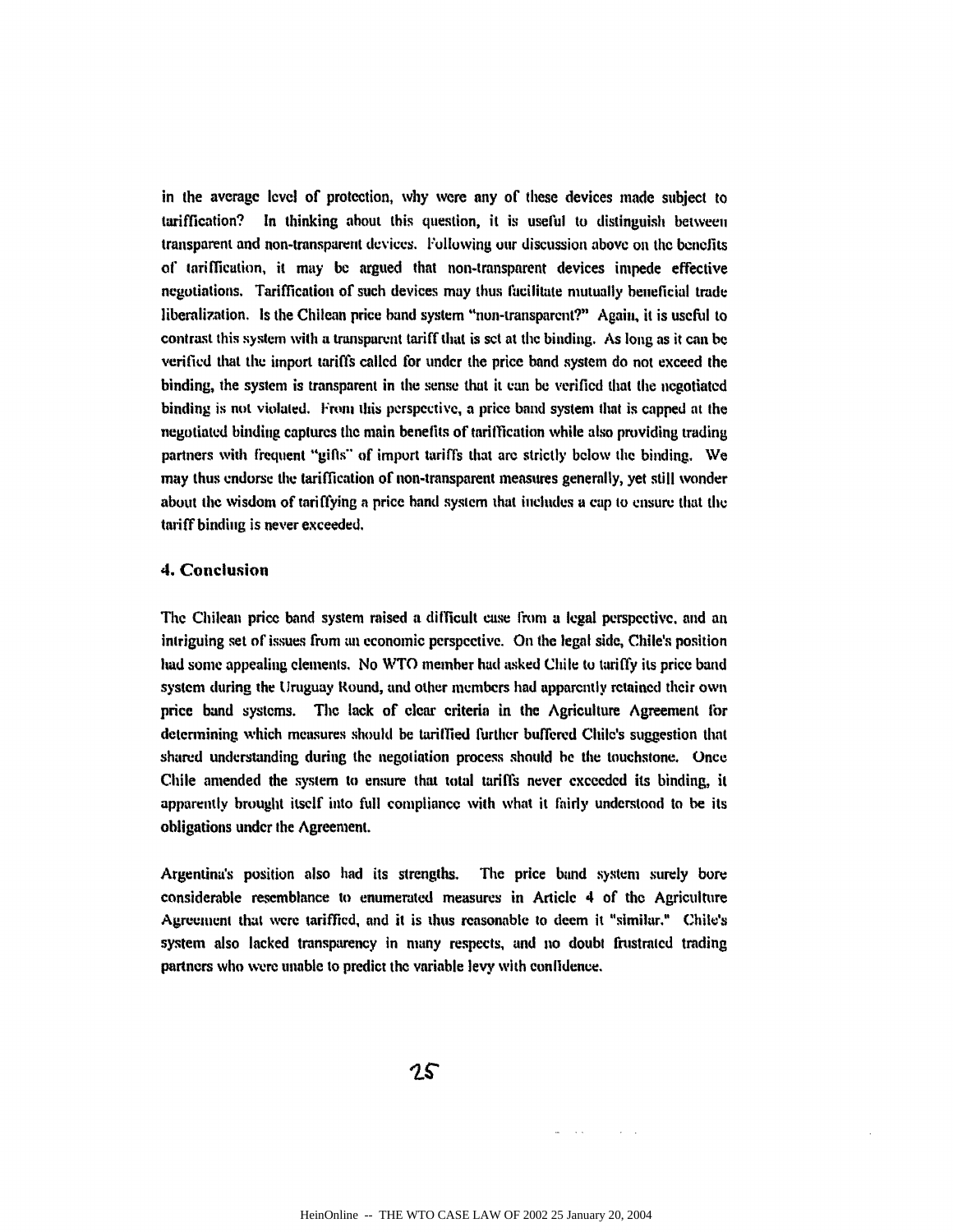in the average level of protection, vhy were any of these devices made subject to tariffication? In thinking about this question, it is useful to distinguish between transparent and non-transparent devices. Following our discussion above on **the** bencfits of' lariffication, **it** may **be** argued that non-transparent devices impede effective negotiations. Tariffication of such devices may thus facilitate mutually beneficial trade liberalization. Is the Chilean price band system "non-transparent?" Again, it is useful to contrast this system with a transparent tariff that is **set** at the binding. As long as it can **be** verified that the import tariffs called for under the price band system do not exceed **the** binding, the system is transparent in the sense that it can **be** verificd that the negotiated binding is not violated. From this perspective, a price band system that is capped at the negotiated binding captures the main benefits of tariflication while also providing trading partners with fiequent "gifls" of import tariffs that **arc** strictly below the binding. We may thus endorse the tariffication of non-transparent measures generally, yet still wonder about the wisdom of tariffying **a** price band system **that** includes a cap to ensure that the tariff binding is never exceeded.

#### 4. Conclusion

The Chilean price band system raised a difficult case from **a** legal perspective, **and an** intriguing set of issues **from** an economic perspective. On the **legal** side, Chile's position had some appealing elements. No WTO member had asked Chile to tariffy its price band system during the Uruguay Round, and other members **had** apparently retained their own price band systems. The lack of clear criteria in the Agriculture Agreement **lbr** determining which measures should be tariffied further buffered Chile's suggestion that shared understanding during the negotiation process should be the touchstone. Once Chile amended the system to ensure that total tariffs never exceeded its binding, it apparently brought itself into full compliance with what it fairly understood to be its obligations under the Agreement.

Argentina's position also had its strengths. The price band system surely bore considerable resemblance to enumerated measures in Article 4 of the Agriculture Agreement that **wcrc** tariffied, and it is thus reasonable to deem it "similar." Chile's system also **lacked** transparency in many respects, and no doubt frustrated trading partners who were unable to predict the variable levy with confidence.

**16"**

and a control

 $\sim 10^{-1}$  k  $^{-1}$